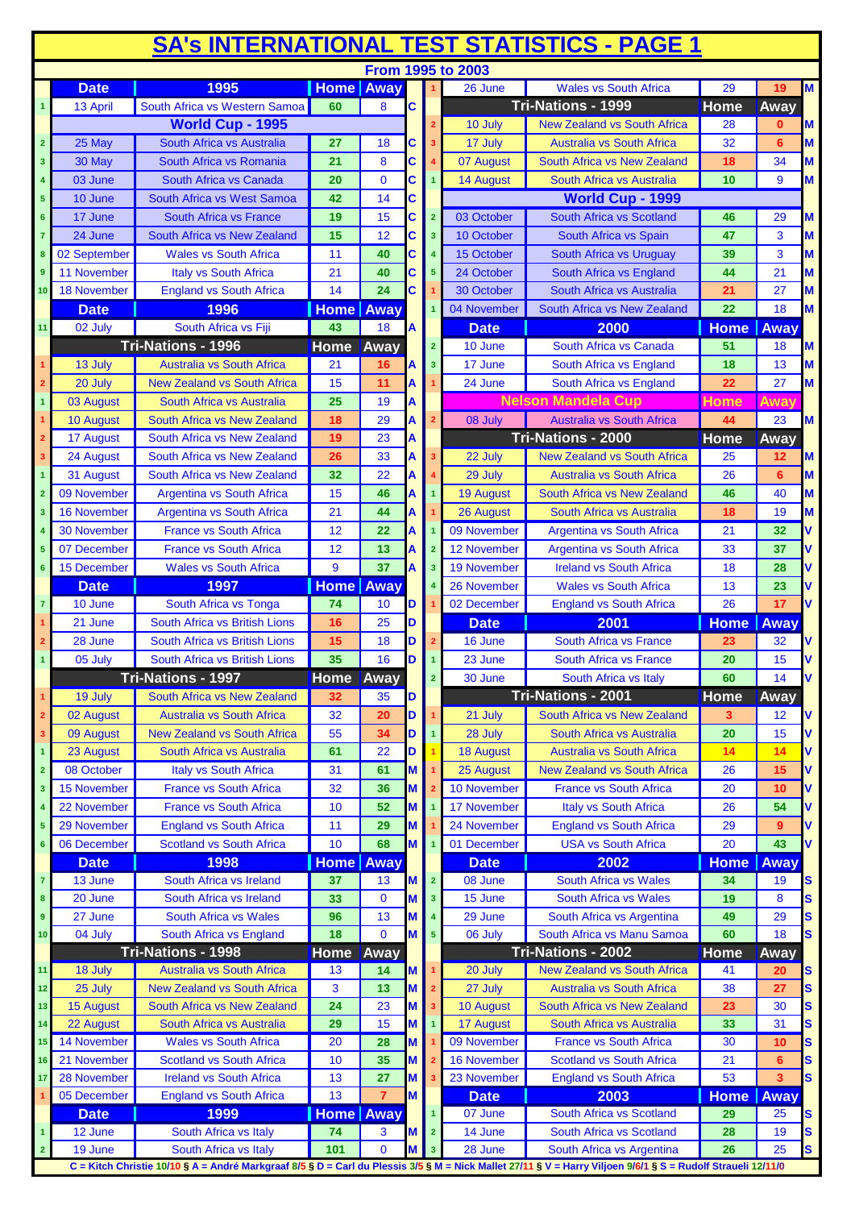| <b>SA's INTERNATIONAL TEST STATISTICS - PAGE 1</b> |                                                                                                                                                              |                                    |                  |                |   |                         |                       |                                    |             |             |              |
|----------------------------------------------------|--------------------------------------------------------------------------------------------------------------------------------------------------------------|------------------------------------|------------------|----------------|---|-------------------------|-----------------------|------------------------------------|-------------|-------------|--------------|
|                                                    |                                                                                                                                                              |                                    |                  |                |   |                         | From 1995 to 2003     |                                    |             |             |              |
|                                                    | <b>Date</b>                                                                                                                                                  | 1995                               | <b>Home</b>      | Away           |   |                         | 26 June               | <b>Wales vs South Africa</b>       | 29          | 19          | M            |
|                                                    | 13 April                                                                                                                                                     | South Africa vs Western Samoa      | 60               | 8              | C |                         |                       | <b>Tri-Nations - 1999</b>          | Home        | Away        |              |
|                                                    |                                                                                                                                                              | <b>World Cup - 1995</b>            |                  |                |   |                         | 10 July               | <b>New Zealand vs South Africa</b> | 28          | 0           | M            |
| $\overline{2}$                                     | 25 May                                                                                                                                                       | South Africa vs Australia          | 27               | 18             | С |                         | 17 July               | <b>Australia vs South Africa</b>   | 32          | 6           | M            |
| 3                                                  | 30 May                                                                                                                                                       | South Africa vs Romania            | 21               | 8              | C |                         | 07 August             | South Africa vs New Zealand        | 18          | 34          | M            |
|                                                    | 03 June                                                                                                                                                      | South Africa vs Canada             | 20               | $\mathbf 0$    | C | $\overline{1}$          | 14 August             | South Africa vs Australia          | 10          | 9           | M            |
| 5                                                  | 10 June                                                                                                                                                      | South Africa vs West Samoa         | 42               | 14             | C |                         |                       | World Cup - 1999                   |             |             |              |
| $6\phantom{1}$                                     | 17 June                                                                                                                                                      | <b>South Africa vs France</b>      | 19               | 15             | C | $\overline{2}$          | 03 October            | South Africa vs Scotland           | 46          | 29          | M            |
|                                                    | 24 June                                                                                                                                                      | South Africa vs New Zealand        | 15               | 12             | C | $\overline{\mathbf{3}}$ | 10 October            | South Africa vs Spain              | 47          | 3           | M            |
|                                                    | 02 September                                                                                                                                                 | <b>Wales vs South Africa</b>       | 11               | 40             | C | $\overline{4}$          | 15 October            | South Africa vs Uruguay            | 39          | 3           | M            |
| 9                                                  | 11 November                                                                                                                                                  | Italy vs South Africa              | 21               | 40             | C | 5                       | 24 October            | South Africa vs England            | 44          | 21          | M            |
| 10                                                 | 18 November                                                                                                                                                  | <b>England vs South Africa</b>     | 14               | 24             | C |                         | 30 October            | South Africa vs Australia          | 21          | 27          | M            |
|                                                    | <b>Date</b>                                                                                                                                                  | 1996                               | <b>Home Away</b> |                |   | $\overline{1}$          | 04 November           | South Africa vs New Zealand        | 22          | 18          | M            |
| 11                                                 | 02 July                                                                                                                                                      | South Africa vs Fiji               | 43               | 18             | A |                         | <b>Date</b>           | 2000                               | <b>Home</b> | Away        |              |
|                                                    |                                                                                                                                                              | Tri-Nations - 1996                 | <b>Home Away</b> |                |   | 2 <sup>1</sup>          | 10 June               | South Africa vs Canada             | 51          | 18          | M            |
|                                                    | 13 July                                                                                                                                                      | <b>Australia vs South Africa</b>   | 21               | 16             |   | $\overline{\mathbf{3}}$ | 17 June               | South Africa vs England            | 18          | 13          | M            |
|                                                    | 20 July                                                                                                                                                      | <b>New Zealand vs South Africa</b> | 15               | 11             | А |                         | 24 June               | South Africa vs England            | 22          | 27          | M            |
| 1                                                  | 03 August                                                                                                                                                    | South Africa vs Australia          | 25               | 19             |   |                         |                       | <b>Nelson Mandela Cup</b>          | Home        | Away        |              |
|                                                    | 10 August                                                                                                                                                    | South Africa vs New Zealand        | 18               | 29             | А |                         | 08 July               | <b>Australia vs South Africa</b>   | 44          | 23          | M            |
| $\overline{2}$                                     | 17 August                                                                                                                                                    | South Africa vs New Zealand        | 19               | 23             | А |                         |                       | Tri-Nations - 2000                 | <b>Home</b> | Away        |              |
| 3                                                  | 24 August                                                                                                                                                    | South Africa vs New Zealand        | 26               | 33             | A | $\overline{\mathbf{3}}$ | 22 July               | <b>New Zealand vs South Africa</b> | 25          | 12          | M            |
|                                                    | 31 August                                                                                                                                                    | South Africa vs New Zealand        | 32               | 22             | А |                         | 29 July               | <b>Australia vs South Africa</b>   | 26          | 6           | M            |
| $\overline{2}$                                     | 09 November                                                                                                                                                  | <b>Argentina vs South Africa</b>   | 15               | 46             |   |                         | <b>19 August</b>      | South Africa vs New Zealand        | 46          | 40          | M            |
| 3                                                  | <b>16 November</b>                                                                                                                                           | <b>Argentina vs South Africa</b>   | 21               | 44             | А |                         | 26 August             | South Africa vs Australia          | 18          | 19          | M            |
|                                                    | 30 November                                                                                                                                                  | <b>France vs South Africa</b>      | 12               | 22             |   |                         | 09 November           | <b>Argentina vs South Africa</b>   | 21          | 32          | V            |
|                                                    | 07 December                                                                                                                                                  | <b>France vs South Africa</b>      | 12               | 13             |   | $\overline{2}$          | <b>12 November</b>    | <b>Argentina vs South Africa</b>   | 33          | 37          | v            |
| 6                                                  | 15 December                                                                                                                                                  | <b>Wales vs South Africa</b>       | 9                | 37             | А | 3                       | 19 November           | <b>Ireland vs South Africa</b>     | 18          | 28          |              |
|                                                    | <b>Date</b>                                                                                                                                                  | 1997                               | <b>Home</b>      | Away           |   |                         | 26 November           | <b>Wales vs South Africa</b>       | 13          | 23          |              |
| $\overline{7}$                                     | 10 June                                                                                                                                                      | South Africa vs Tonga              | 74               | 10             | D |                         | 02 December           | <b>England vs South Africa</b>     | 26          | 17          |              |
|                                                    | 21 June                                                                                                                                                      | South Africa vs British Lions      | 16               | 25             | D |                         | <b>Date</b>           | 2001                               | <b>Home</b> | Away        |              |
|                                                    | 28 June                                                                                                                                                      | South Africa vs British Lions      | 15               | 18             | D | $\overline{2}$          | 16 June               | <b>South Africa vs France</b>      | 23          | 32          | ۷            |
|                                                    | 05 July                                                                                                                                                      | South Africa vs British Lions      | 35               | 16             | D |                         | 23 June               | South Africa vs France             | 20          | 15          |              |
|                                                    |                                                                                                                                                              | <b>Tri-Nations - 1997</b>          | <b>Home</b> Away |                |   | $\mathbf{2}$            | 30 June               | South Africa vs Italy              | 60          | 14          | V            |
|                                                    | 19 July                                                                                                                                                      | South Africa vs New Zealand        | 32               | 35             | D |                         |                       | <b>Tri-Nations - 2001</b>          | <b>Home</b> | Away        |              |
| $\overline{2}$                                     | 02 August                                                                                                                                                    | Australia vs South Africa          | 32               | 20             | D |                         | 21 July               | South Africa vs New Zealand        | 3           | 12          | V            |
| 3 <sup>2</sup>                                     | 09 August                                                                                                                                                    | <b>New Zealand vs South Africa</b> | 55               | 34             | D |                         | 28 July               | South Africa vs Australia          | 20          | 15          | V            |
|                                                    | 23 August                                                                                                                                                    | South Africa vs Australia          | 61               | 22             | D |                         | <b>18 August</b>      | <b>Australia vs South Africa</b>   | 14          | 14          | V            |
| $\overline{2}$                                     | 08 October                                                                                                                                                   | Italy vs South Africa              | 31               | 61             | M |                         | 25 August             | <b>New Zealand vs South Africa</b> | 26          | 15          | ٧            |
| 3                                                  | <b>15 November</b>                                                                                                                                           | <b>France vs South Africa</b>      | 32               | 36             | М |                         | 10 November           | <b>France vs South Africa</b>      | 20          | 10          | V            |
|                                                    | 22 November                                                                                                                                                  | <b>France vs South Africa</b>      | 10               | 52             | M |                         | 17 November           | Italy vs South Africa              | 26          | 54          | V            |
| 5                                                  | 29 November                                                                                                                                                  | <b>England vs South Africa</b>     | 11               | 29             | М |                         | 24 November           | <b>England vs South Africa</b>     | 29          | 9           | V            |
| $6\phantom{1}$                                     | 06 December                                                                                                                                                  | <b>Scotland vs South Africa</b>    | 10               | 68             | M |                         | 01 December           | <b>USA vs South Africa</b>         | 20          | 43          | V            |
|                                                    | <b>Date</b>                                                                                                                                                  | 1998                               | <b>Home</b>      | Away           |   |                         | <b>Date</b>           | 2002                               | <b>Home</b> | Away        |              |
| $\overline{7}$                                     | 13 June                                                                                                                                                      | South Africa vs Ireland            | 37               | 13             | M | $\overline{2}$          | 08 June               | South Africa vs Wales              | 34          | 19          | S            |
| 8                                                  | 20 June                                                                                                                                                      | South Africa vs Ireland            | 33               | $\bf{0}$       | М | 3                       | 15 June               | <b>South Africa vs Wales</b>       | 19          | 8           | $\mathbf{s}$ |
| $\boldsymbol{9}$                                   | 27 June                                                                                                                                                      | South Africa vs Wales              | 96               | 13             | М | $\overline{4}$          | 29 June               | South Africa vs Argentina          | 49          | 29          | S            |
| 10                                                 | 04 July                                                                                                                                                      | South Africa vs England            | 18               | $\mathbf{0}$   | M | $\sqrt{5}$              | 06 July               | South Africa vs Manu Samoa         | 60          | 18          | S            |
|                                                    |                                                                                                                                                              | Tri-Nations - 1998                 | <b>Home</b>      | Away           |   |                         |                       | Tri-Nations - 2002                 | <b>Home</b> | Away        |              |
| 11                                                 | 18 July                                                                                                                                                      | <b>Australia vs South Africa</b>   | 13               | 14             | M |                         | 20 July               | <b>New Zealand vs South Africa</b> | 41          | 20          | S            |
| 12                                                 | 25 July                                                                                                                                                      | <b>New Zealand vs South Africa</b> | 3                | 13             | M |                         | 27 July               | <b>Australia vs South Africa</b>   | 38          | 27          | s            |
| 13                                                 | 15 August                                                                                                                                                    | South Africa vs New Zealand        | 24               | 23             | M | 3                       | 10 August             | South Africa vs New Zealand        | 23          | 30          | S            |
| 14                                                 | 22 August                                                                                                                                                    | South Africa vs Australia          | 29               | 15             | M | $\overline{1}$          | 17 August             | South Africa vs Australia          | 33          | 31          | S            |
| 15                                                 | 14 November                                                                                                                                                  | <b>Wales vs South Africa</b>       | 20               | 28             | М |                         | 09 November           | <b>France vs South Africa</b>      | 30          | 10          | S            |
| 16                                                 | 21 November                                                                                                                                                  | <b>Scotland vs South Africa</b>    | 10               | 35             | M |                         | 16 November           | <b>Scotland vs South Africa</b>    | 21          | 6           | S            |
| 17                                                 | 28 November                                                                                                                                                  | <b>Ireland vs South Africa</b>     | 13               | 27             | M |                         | 23 November           | <b>England vs South Africa</b>     | 53          | 3           | $\mathbf{s}$ |
|                                                    | 05 December                                                                                                                                                  | <b>England vs South Africa</b>     | 13               | $\overline{7}$ | M |                         | <b>Date</b>           | 2003                               | <b>Home</b> | <b>Away</b> |              |
|                                                    | <b>Date</b>                                                                                                                                                  | 1999                               | <b>Home Away</b> |                |   | $\overline{1}$          | $\overline{0}$ 7 June | South Africa vs Scotland           | 29          | 25          | S            |
|                                                    | 12 June                                                                                                                                                      | South Africa vs Italy              | 74               | 3              |   | $\overline{2}$          | 14 June               | South Africa vs Scotland           | 28          | 19          | S            |
| $\overline{2}$                                     | 19 June                                                                                                                                                      | South Africa vs Italy              | 101              | $\mathbf{0}$   |   | 3                       | 28 June               | South Africa vs Argentina          | 26          | 25          | S.           |
|                                                    | C = Kitch Christie 10/10 § A = André Markgraaf 8/5 § D = Carl du Plessis 3/5 § M = Nick Mallet 27/11 § V = Harry Viljoen 9/6/1 § S = Rudolf Straueli 12/11/0 |                                    |                  |                |   |                         |                       |                                    |             |             |              |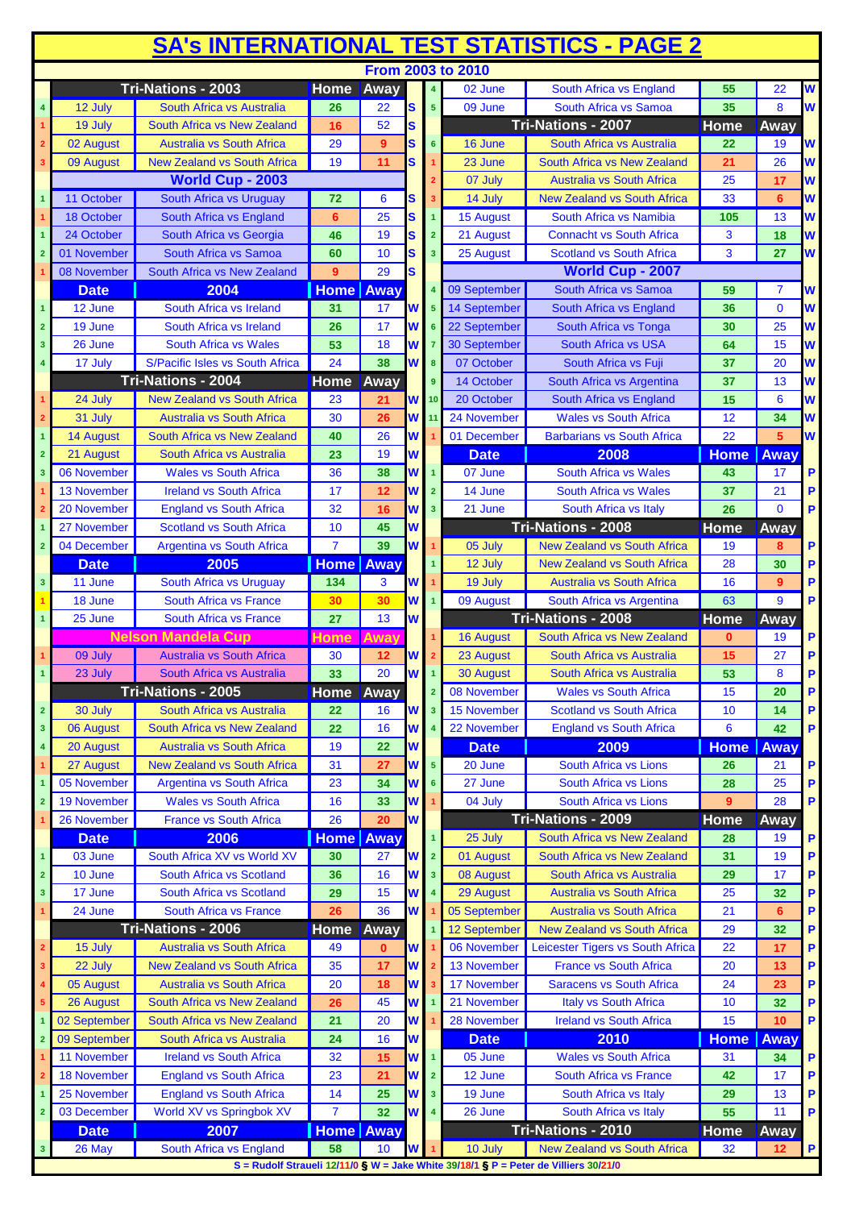| <b>From 2003 to 2010</b><br>Tri-Nations - 2003<br>Home Away<br>02 June<br>South Africa vs England<br>55<br>22<br>$\overline{\mathbf{4}}$<br>S<br>South Africa vs Samoa<br>35<br>8<br>26<br>22<br>09 June<br>12 July<br>South Africa vs Australia<br>5 <sub>5</sub><br><b>Tri-Nations - 2007</b><br>52<br><b>Home</b><br>S<br>Away<br>19 July<br><b>South Africa vs New Zealand</b><br>16<br>02 August<br><b>Australia vs South Africa</b><br>29<br>9<br>s<br>6<br>16 June<br>South Africa vs Australia<br>22<br>19<br><b>New Zealand vs South Africa</b><br>19<br>11<br>S<br>21<br>26<br>09 August<br>23 June<br>South Africa vs New Zealand<br><b>World Cup - 2003</b><br>07 July<br><b>Australia vs South Africa</b><br>25<br>17<br>South Africa vs Uruguay<br>11 October<br>14 July<br><b>New Zealand vs South Africa</b><br>33<br>72<br>6<br>6<br>s<br>25<br>South Africa vs Namibia<br>South Africa vs England<br>$6\phantom{1}$<br>15 August<br>13<br>18 October<br>S<br>105<br>$\overline{1}$<br>South Africa vs Georgia<br>19<br>S<br><b>Connacht vs South Africa</b><br>3<br>24 October<br>46<br>21 August<br>18<br>$\overline{2}$<br>10<br>South Africa vs Samoa<br>60<br>S<br>25 August<br><b>Scotland vs South Africa</b><br>3<br>27<br>01 November<br>3<br>$\overline{2}$<br><b>World Cup - 2007</b><br>29<br><b>S</b><br>08 November<br>South Africa vs New Zealand<br>$9^{\circ}$<br>South Africa vs Samoa<br>2004<br><b>Home Away</b><br>09 September<br><b>Date</b><br>59<br>7<br>W<br>14 September<br>South Africa vs England<br>36<br>$\Omega$<br>12 June<br>South Africa vs Ireland<br>31<br>17<br>5<br>17<br>W<br>25<br>19 June<br>South Africa vs Ireland<br>26<br>22 September<br>30<br>South Africa vs Tonga<br>$\overline{2}$<br>6<br>53<br>W<br>26 June<br>South Africa vs Wales<br>18<br>30 September<br><b>South Africa vs USA</b><br>64<br>15<br>3<br>$\overline{7}$<br>W<br>24<br>38<br>S/Pacific Isles vs South Africa<br>South Africa vs Fuji<br>37<br>20<br>17 July<br>07 October<br>8<br>Tri-Nations - 2004<br><b>Home Away</b><br>South Africa vs Argentina<br>37<br>13<br>9<br>14 October<br>15<br>$6\phantom{1}6$<br><b>New Zealand vs South Africa</b><br>23<br><b>W</b> 10<br>20 October<br>South Africa vs England<br>24 July<br>21<br>30<br>24 November<br><b>Wales vs South Africa</b><br>12<br>31 July<br><b>Australia vs South Africa</b><br>26<br>W<br>34<br>11<br>South Africa vs New Zealand<br>26<br>01 December<br><b>Barbarians vs South Africa</b><br>22<br><b>14 August</b><br>W<br>5<br>40<br>19<br>W<br>21 August<br>South Africa vs Australia<br>23<br><b>Date</b><br>2008<br>Away<br><b>Home</b><br>$\overline{2}$<br>06 November<br><b>Wales vs South Africa</b><br>36<br>W<br>$\overline{0}$ 7 June<br><b>South Africa vs Wales</b><br>38<br>17<br>43<br>3<br>W<br><b>13 November</b><br>17<br>14 June<br>South Africa vs Wales<br>21<br><b>Ireland vs South Africa</b><br>12<br>$\overline{2}$<br>37<br>W<br>$\Omega$<br>32<br>16<br>21 June<br>South Africa vs Italy<br>26<br>20 November<br><b>England vs South Africa</b><br>$\overline{\mathbf{3}}$<br>Tri-Nations - 2008<br>Home<br><b>Scotland vs South Africa</b><br>45<br>W<br>Away<br>10<br>27 November<br>W<br>39<br>04 December<br><b>Argentina vs South Africa</b><br>$\overline{7}$<br><b>New Zealand vs South Africa</b><br>05 July<br>19<br>8<br>$\overline{\mathbf{2}}$<br>2005<br><b>Home Away</b><br><b>Date</b><br>12 July<br><b>New Zealand vs South Africa</b><br>28<br>30<br>South Africa vs Uruguay<br>3<br>11 June<br>134<br>3<br>W<br>19 July<br><b>Australia vs South Africa</b><br>16<br>9<br>30<br>18 June<br>30<br>W<br>09 August<br>9<br>South Africa vs France<br>South Africa vs Argentina<br>63<br><b>Tri-Nations - 2008</b><br>25 June<br>27<br>13<br>W<br><b>Home</b><br>South Africa vs France<br>Away<br>$\overline{1}$<br><b>Nelson Mandela Cup</b><br>Away<br><b>Home</b><br>South Africa vs New Zealand<br>$\bf{0}$<br>19<br><b>16 August</b><br>30<br>W<br>15<br>27<br>09 July<br><b>Australia vs South Africa</b><br>12<br>23 August<br>South Africa vs Australia<br>33<br>20<br>23 July<br>53<br>8<br>South Africa vs Australia<br>30 August<br>South Africa vs Australia<br>Tri-Nations - 2005<br><b>Wales vs South Africa</b><br>08 November<br>15<br>Home Away<br>20<br>$\overline{2}$<br>30 July<br><b>Scotland vs South Africa</b><br>South Africa vs Australia<br>22<br>16<br>15 November<br>10<br>14<br>$\overline{2}$<br>W<br>$\overline{\mathbf{3}}$<br>16<br>22 November<br><b>England vs South Africa</b><br>06 August<br>South Africa vs New Zealand<br>22<br>W<br>6<br>42<br>$\overline{\mathbf{3}}$<br><b>Australia vs South Africa</b><br>2009<br>20 August<br>19<br>22<br>W<br><b>Date</b><br><b>Home</b><br>Away<br>$\overline{4}$<br>W<br><b>New Zealand vs South Africa</b><br>31<br>5 <sup>5</sup><br>South Africa vs Lions<br>27 August<br>27<br>20 June<br>26<br>21<br>34<br>27 June<br>South Africa vs Lions<br>05 November<br><b>Argentina vs South Africa</b><br>23<br>W<br>28<br>25<br>6<br>W<br>04 July<br><b>19 November</b><br><b>Wales vs South Africa</b><br>33<br>South Africa vs Lions<br>9<br>28<br>16<br>W<br>Tri-Nations - 2009<br>26<br>20<br><b>Home</b><br>26 November<br><b>France vs South Africa</b><br>Away<br>2006<br>South Africa vs New Zealand<br><b>Date</b><br><b>Home</b>   Away<br>25 July<br>28<br>19<br>31<br>South Africa XV vs World XV<br><b>W</b><br>$\overline{2}$<br>01 August<br>South Africa vs New Zealand<br>19<br>03 June<br>30<br>27<br>1<br>10 June<br>36<br>16<br>W<br>08 August<br>29<br>17<br>South Africa vs Scotland<br>$\overline{\mathbf{3}}$<br>South Africa vs Australia<br>$\overline{2}$<br>15<br>W<br>25<br>17 June<br><b>South Africa vs Scotland</b><br>29<br>29 August<br>Australia vs South Africa<br>32<br>3<br>W<br>South Africa vs France<br>36<br>05 September<br>Australia vs South Africa<br>24 June<br>26<br>21<br>6<br><b>Tri-Nations - 2006</b><br>12 September<br><b>New Zealand vs South Africa</b><br>29<br>Away<br>32<br>Home<br><b>Australia vs South Africa</b><br>49<br>W<br>06 November<br>Leicester Tigers vs South Africa<br>22<br>15 July<br>$\bf{0}$<br>17<br>35<br>W<br>13 November<br><b>France vs South Africa</b><br>22 July<br><b>New Zealand vs South Africa</b><br>17<br>20<br>13<br><b>Australia vs South Africa</b><br>17 November<br>05 August<br>20<br>W<br><b>Saracens vs South Africa</b><br>24<br>18<br>23<br>45<br>Italy vs South Africa<br>26 August<br>South Africa vs New Zealand<br>W<br>21 November<br>10<br>26<br>32<br>20<br>South Africa vs New Zealand<br>21<br>W<br>28 November<br><b>Ireland vs South Africa</b><br>02 September<br>15<br>10<br>24<br>W<br>2010<br>09 September<br>South Africa vs Australia<br>16<br><b>Date</b><br><b>Home</b><br>Away<br>11 November<br><b>Ireland vs South Africa</b><br>$\overline{05}$ June<br><b>Wales vs South Africa</b><br>32<br>W<br>31<br>15<br>34<br>18 November<br><b>England vs South Africa</b><br>21<br>W<br>$\overline{2}$<br>12 June<br>South Africa vs France<br>42<br>23<br>17<br>W<br>19 June<br>25 November<br><b>England vs South Africa</b><br>14<br>25<br>South Africa vs Italy<br>13<br>3<br>29<br><b>W</b><br>$\overline{7}$<br>32<br>55<br>03 December<br>World XV vs Springbok XV<br>26 June<br>South Africa vs Italy<br>11<br>$\overline{\mathbf{4}}$<br>$\overline{\mathbf{2}}$<br>Tri-Nations - 2010<br><b>Home</b><br>2007<br><b>Home</b> Away<br><b>Date</b><br>Away<br>58<br>26 May<br>South Africa vs England<br>W<br>10 July<br><b>New Zealand vs South Africa</b><br>10<br>32<br>12<br>3<br>S = Rudolf Straueli 12/11/0 § W = Jake White 39/18/1 § P = Peter de Villiers 30/21/0 | <b>SA's INTERNATIONAL TEST STATISTICS - PAGE 2</b> |  |  |  |  |  |  |  |  |  |              |
|------------------------------------------------------------------------------------------------------------------------------------------------------------------------------------------------------------------------------------------------------------------------------------------------------------------------------------------------------------------------------------------------------------------------------------------------------------------------------------------------------------------------------------------------------------------------------------------------------------------------------------------------------------------------------------------------------------------------------------------------------------------------------------------------------------------------------------------------------------------------------------------------------------------------------------------------------------------------------------------------------------------------------------------------------------------------------------------------------------------------------------------------------------------------------------------------------------------------------------------------------------------------------------------------------------------------------------------------------------------------------------------------------------------------------------------------------------------------------------------------------------------------------------------------------------------------------------------------------------------------------------------------------------------------------------------------------------------------------------------------------------------------------------------------------------------------------------------------------------------------------------------------------------------------------------------------------------------------------------------------------------------------------------------------------------------------------------------------------------------------------------------------------------------------------------------------------------------------------------------------------------------------------------------------------------------------------------------------------------------------------------------------------------------------------------------------------------------------------------------------------------------------------------------------------------------------------------------------------------------------------------------------------------------------------------------------------------------------------------------------------------------------------------------------------------------------------------------------------------------------------------------------------------------------------------------------------------------------------------------------------------------------------------------------------------------------------------------------------------------------------------------------------------------------------------------------------------------------------------------------------------------------------------------------------------------------------------------------------------------------------------------------------------------------------------------------------------------------------------------------------------------------------------------------------------------------------------------------------------------------------------------------------------------------------------------------------------------------------------------------------------------------------------------------------------------------------------------------------------------------------------------------------------------------------------------------------------------------------------------------------------------------------------------------------------------------------------------------------------------------------------------------------------------------------------------------------------------------------------------------------------------------------------------------------------------------------------------------------------------------------------------------------------------------------------------------------------------------------------------------------------------------------------------------------------------------------------------------------------------------------------------------------------------------------------------------------------------------------------------------------------------------------------------------------------------------------------------------------------------------------------------------------------------------------------------------------------------------------------------------------------------------------------------------------------------------------------------------------------------------------------------------------------------------------------------------------------------------------------------------------------------------------------------------------------------------------------------------------------------------------------------------------------------------------------------------------------------------------------------------------------------------------------------------------------------------------------------------------------------------------------------------------------------------------------------------------------------------------------------------------------------------------------------------------------------------------------------------------------------------------------------------------------------------------------------------------------------------------------------------------------------------------------------------------------------------------------------------------------------------------------------------------------------------------------------------------------------------------------------------------------------------------------------------------------------------------------------------------------------------------------------------------------------------------------------------------------------------------------------------------------------------------------------------------------------------------------------------------------------------------------------------------------------------------------------------------------------------------------------------------------------------------------------------------------------------------------------------------------------------------------------------------------------------------------------------------------------------------------------------------------------------------------------------------------------------------------------------------------------------------------------------------------------------------------------------------------------------------------------------------------------------------------------------------------------------------------------------------------------------------------------------------------------------------------------------------------------------------------------------------------------------------------------------------------------------------------------------------------------------------------------------------------------------------------------------------------------------------------------------|----------------------------------------------------|--|--|--|--|--|--|--|--|--|--------------|
|                                                                                                                                                                                                                                                                                                                                                                                                                                                                                                                                                                                                                                                                                                                                                                                                                                                                                                                                                                                                                                                                                                                                                                                                                                                                                                                                                                                                                                                                                                                                                                                                                                                                                                                                                                                                                                                                                                                                                                                                                                                                                                                                                                                                                                                                                                                                                                                                                                                                                                                                                                                                                                                                                                                                                                                                                                                                                                                                                                                                                                                                                                                                                                                                                                                                                                                                                                                                                                                                                                                                                                                                                                                                                                                                                                                                                                                                                                                                                                                                                                                                                                                                                                                                                                                                                                                                                                                                                                                                                                                                                                                                                                                                                                                                                                                                                                                                                                                                                                                                                                                                                                                                                                                                                                                                                                                                                                                                                                                                                                                                                                                                                                                                                                                                                                                                                                                                                                                                                                                                                                                                                                                                                                                                                                                                                                                                                                                                                                                                                                                                                                                                                                                                                                                                                                                                                                                                                                                                                                                                                                                                                                                                                                                                                                                                                                                                                                                                                                                                                                                                                                                                                                                                                                                                                |                                                    |  |  |  |  |  |  |  |  |  |              |
|                                                                                                                                                                                                                                                                                                                                                                                                                                                                                                                                                                                                                                                                                                                                                                                                                                                                                                                                                                                                                                                                                                                                                                                                                                                                                                                                                                                                                                                                                                                                                                                                                                                                                                                                                                                                                                                                                                                                                                                                                                                                                                                                                                                                                                                                                                                                                                                                                                                                                                                                                                                                                                                                                                                                                                                                                                                                                                                                                                                                                                                                                                                                                                                                                                                                                                                                                                                                                                                                                                                                                                                                                                                                                                                                                                                                                                                                                                                                                                                                                                                                                                                                                                                                                                                                                                                                                                                                                                                                                                                                                                                                                                                                                                                                                                                                                                                                                                                                                                                                                                                                                                                                                                                                                                                                                                                                                                                                                                                                                                                                                                                                                                                                                                                                                                                                                                                                                                                                                                                                                                                                                                                                                                                                                                                                                                                                                                                                                                                                                                                                                                                                                                                                                                                                                                                                                                                                                                                                                                                                                                                                                                                                                                                                                                                                                                                                                                                                                                                                                                                                                                                                                                                                                                                                                |                                                    |  |  |  |  |  |  |  |  |  | W            |
|                                                                                                                                                                                                                                                                                                                                                                                                                                                                                                                                                                                                                                                                                                                                                                                                                                                                                                                                                                                                                                                                                                                                                                                                                                                                                                                                                                                                                                                                                                                                                                                                                                                                                                                                                                                                                                                                                                                                                                                                                                                                                                                                                                                                                                                                                                                                                                                                                                                                                                                                                                                                                                                                                                                                                                                                                                                                                                                                                                                                                                                                                                                                                                                                                                                                                                                                                                                                                                                                                                                                                                                                                                                                                                                                                                                                                                                                                                                                                                                                                                                                                                                                                                                                                                                                                                                                                                                                                                                                                                                                                                                                                                                                                                                                                                                                                                                                                                                                                                                                                                                                                                                                                                                                                                                                                                                                                                                                                                                                                                                                                                                                                                                                                                                                                                                                                                                                                                                                                                                                                                                                                                                                                                                                                                                                                                                                                                                                                                                                                                                                                                                                                                                                                                                                                                                                                                                                                                                                                                                                                                                                                                                                                                                                                                                                                                                                                                                                                                                                                                                                                                                                                                                                                                                                                |                                                    |  |  |  |  |  |  |  |  |  | W            |
|                                                                                                                                                                                                                                                                                                                                                                                                                                                                                                                                                                                                                                                                                                                                                                                                                                                                                                                                                                                                                                                                                                                                                                                                                                                                                                                                                                                                                                                                                                                                                                                                                                                                                                                                                                                                                                                                                                                                                                                                                                                                                                                                                                                                                                                                                                                                                                                                                                                                                                                                                                                                                                                                                                                                                                                                                                                                                                                                                                                                                                                                                                                                                                                                                                                                                                                                                                                                                                                                                                                                                                                                                                                                                                                                                                                                                                                                                                                                                                                                                                                                                                                                                                                                                                                                                                                                                                                                                                                                                                                                                                                                                                                                                                                                                                                                                                                                                                                                                                                                                                                                                                                                                                                                                                                                                                                                                                                                                                                                                                                                                                                                                                                                                                                                                                                                                                                                                                                                                                                                                                                                                                                                                                                                                                                                                                                                                                                                                                                                                                                                                                                                                                                                                                                                                                                                                                                                                                                                                                                                                                                                                                                                                                                                                                                                                                                                                                                                                                                                                                                                                                                                                                                                                                                                                |                                                    |  |  |  |  |  |  |  |  |  |              |
|                                                                                                                                                                                                                                                                                                                                                                                                                                                                                                                                                                                                                                                                                                                                                                                                                                                                                                                                                                                                                                                                                                                                                                                                                                                                                                                                                                                                                                                                                                                                                                                                                                                                                                                                                                                                                                                                                                                                                                                                                                                                                                                                                                                                                                                                                                                                                                                                                                                                                                                                                                                                                                                                                                                                                                                                                                                                                                                                                                                                                                                                                                                                                                                                                                                                                                                                                                                                                                                                                                                                                                                                                                                                                                                                                                                                                                                                                                                                                                                                                                                                                                                                                                                                                                                                                                                                                                                                                                                                                                                                                                                                                                                                                                                                                                                                                                                                                                                                                                                                                                                                                                                                                                                                                                                                                                                                                                                                                                                                                                                                                                                                                                                                                                                                                                                                                                                                                                                                                                                                                                                                                                                                                                                                                                                                                                                                                                                                                                                                                                                                                                                                                                                                                                                                                                                                                                                                                                                                                                                                                                                                                                                                                                                                                                                                                                                                                                                                                                                                                                                                                                                                                                                                                                                                                |                                                    |  |  |  |  |  |  |  |  |  | W            |
|                                                                                                                                                                                                                                                                                                                                                                                                                                                                                                                                                                                                                                                                                                                                                                                                                                                                                                                                                                                                                                                                                                                                                                                                                                                                                                                                                                                                                                                                                                                                                                                                                                                                                                                                                                                                                                                                                                                                                                                                                                                                                                                                                                                                                                                                                                                                                                                                                                                                                                                                                                                                                                                                                                                                                                                                                                                                                                                                                                                                                                                                                                                                                                                                                                                                                                                                                                                                                                                                                                                                                                                                                                                                                                                                                                                                                                                                                                                                                                                                                                                                                                                                                                                                                                                                                                                                                                                                                                                                                                                                                                                                                                                                                                                                                                                                                                                                                                                                                                                                                                                                                                                                                                                                                                                                                                                                                                                                                                                                                                                                                                                                                                                                                                                                                                                                                                                                                                                                                                                                                                                                                                                                                                                                                                                                                                                                                                                                                                                                                                                                                                                                                                                                                                                                                                                                                                                                                                                                                                                                                                                                                                                                                                                                                                                                                                                                                                                                                                                                                                                                                                                                                                                                                                                                                |                                                    |  |  |  |  |  |  |  |  |  | W            |
|                                                                                                                                                                                                                                                                                                                                                                                                                                                                                                                                                                                                                                                                                                                                                                                                                                                                                                                                                                                                                                                                                                                                                                                                                                                                                                                                                                                                                                                                                                                                                                                                                                                                                                                                                                                                                                                                                                                                                                                                                                                                                                                                                                                                                                                                                                                                                                                                                                                                                                                                                                                                                                                                                                                                                                                                                                                                                                                                                                                                                                                                                                                                                                                                                                                                                                                                                                                                                                                                                                                                                                                                                                                                                                                                                                                                                                                                                                                                                                                                                                                                                                                                                                                                                                                                                                                                                                                                                                                                                                                                                                                                                                                                                                                                                                                                                                                                                                                                                                                                                                                                                                                                                                                                                                                                                                                                                                                                                                                                                                                                                                                                                                                                                                                                                                                                                                                                                                                                                                                                                                                                                                                                                                                                                                                                                                                                                                                                                                                                                                                                                                                                                                                                                                                                                                                                                                                                                                                                                                                                                                                                                                                                                                                                                                                                                                                                                                                                                                                                                                                                                                                                                                                                                                                                                |                                                    |  |  |  |  |  |  |  |  |  | W            |
|                                                                                                                                                                                                                                                                                                                                                                                                                                                                                                                                                                                                                                                                                                                                                                                                                                                                                                                                                                                                                                                                                                                                                                                                                                                                                                                                                                                                                                                                                                                                                                                                                                                                                                                                                                                                                                                                                                                                                                                                                                                                                                                                                                                                                                                                                                                                                                                                                                                                                                                                                                                                                                                                                                                                                                                                                                                                                                                                                                                                                                                                                                                                                                                                                                                                                                                                                                                                                                                                                                                                                                                                                                                                                                                                                                                                                                                                                                                                                                                                                                                                                                                                                                                                                                                                                                                                                                                                                                                                                                                                                                                                                                                                                                                                                                                                                                                                                                                                                                                                                                                                                                                                                                                                                                                                                                                                                                                                                                                                                                                                                                                                                                                                                                                                                                                                                                                                                                                                                                                                                                                                                                                                                                                                                                                                                                                                                                                                                                                                                                                                                                                                                                                                                                                                                                                                                                                                                                                                                                                                                                                                                                                                                                                                                                                                                                                                                                                                                                                                                                                                                                                                                                                                                                                                                |                                                    |  |  |  |  |  |  |  |  |  | W            |
|                                                                                                                                                                                                                                                                                                                                                                                                                                                                                                                                                                                                                                                                                                                                                                                                                                                                                                                                                                                                                                                                                                                                                                                                                                                                                                                                                                                                                                                                                                                                                                                                                                                                                                                                                                                                                                                                                                                                                                                                                                                                                                                                                                                                                                                                                                                                                                                                                                                                                                                                                                                                                                                                                                                                                                                                                                                                                                                                                                                                                                                                                                                                                                                                                                                                                                                                                                                                                                                                                                                                                                                                                                                                                                                                                                                                                                                                                                                                                                                                                                                                                                                                                                                                                                                                                                                                                                                                                                                                                                                                                                                                                                                                                                                                                                                                                                                                                                                                                                                                                                                                                                                                                                                                                                                                                                                                                                                                                                                                                                                                                                                                                                                                                                                                                                                                                                                                                                                                                                                                                                                                                                                                                                                                                                                                                                                                                                                                                                                                                                                                                                                                                                                                                                                                                                                                                                                                                                                                                                                                                                                                                                                                                                                                                                                                                                                                                                                                                                                                                                                                                                                                                                                                                                                                                |                                                    |  |  |  |  |  |  |  |  |  | W            |
|                                                                                                                                                                                                                                                                                                                                                                                                                                                                                                                                                                                                                                                                                                                                                                                                                                                                                                                                                                                                                                                                                                                                                                                                                                                                                                                                                                                                                                                                                                                                                                                                                                                                                                                                                                                                                                                                                                                                                                                                                                                                                                                                                                                                                                                                                                                                                                                                                                                                                                                                                                                                                                                                                                                                                                                                                                                                                                                                                                                                                                                                                                                                                                                                                                                                                                                                                                                                                                                                                                                                                                                                                                                                                                                                                                                                                                                                                                                                                                                                                                                                                                                                                                                                                                                                                                                                                                                                                                                                                                                                                                                                                                                                                                                                                                                                                                                                                                                                                                                                                                                                                                                                                                                                                                                                                                                                                                                                                                                                                                                                                                                                                                                                                                                                                                                                                                                                                                                                                                                                                                                                                                                                                                                                                                                                                                                                                                                                                                                                                                                                                                                                                                                                                                                                                                                                                                                                                                                                                                                                                                                                                                                                                                                                                                                                                                                                                                                                                                                                                                                                                                                                                                                                                                                                                |                                                    |  |  |  |  |  |  |  |  |  | W            |
|                                                                                                                                                                                                                                                                                                                                                                                                                                                                                                                                                                                                                                                                                                                                                                                                                                                                                                                                                                                                                                                                                                                                                                                                                                                                                                                                                                                                                                                                                                                                                                                                                                                                                                                                                                                                                                                                                                                                                                                                                                                                                                                                                                                                                                                                                                                                                                                                                                                                                                                                                                                                                                                                                                                                                                                                                                                                                                                                                                                                                                                                                                                                                                                                                                                                                                                                                                                                                                                                                                                                                                                                                                                                                                                                                                                                                                                                                                                                                                                                                                                                                                                                                                                                                                                                                                                                                                                                                                                                                                                                                                                                                                                                                                                                                                                                                                                                                                                                                                                                                                                                                                                                                                                                                                                                                                                                                                                                                                                                                                                                                                                                                                                                                                                                                                                                                                                                                                                                                                                                                                                                                                                                                                                                                                                                                                                                                                                                                                                                                                                                                                                                                                                                                                                                                                                                                                                                                                                                                                                                                                                                                                                                                                                                                                                                                                                                                                                                                                                                                                                                                                                                                                                                                                                                                |                                                    |  |  |  |  |  |  |  |  |  | W            |
|                                                                                                                                                                                                                                                                                                                                                                                                                                                                                                                                                                                                                                                                                                                                                                                                                                                                                                                                                                                                                                                                                                                                                                                                                                                                                                                                                                                                                                                                                                                                                                                                                                                                                                                                                                                                                                                                                                                                                                                                                                                                                                                                                                                                                                                                                                                                                                                                                                                                                                                                                                                                                                                                                                                                                                                                                                                                                                                                                                                                                                                                                                                                                                                                                                                                                                                                                                                                                                                                                                                                                                                                                                                                                                                                                                                                                                                                                                                                                                                                                                                                                                                                                                                                                                                                                                                                                                                                                                                                                                                                                                                                                                                                                                                                                                                                                                                                                                                                                                                                                                                                                                                                                                                                                                                                                                                                                                                                                                                                                                                                                                                                                                                                                                                                                                                                                                                                                                                                                                                                                                                                                                                                                                                                                                                                                                                                                                                                                                                                                                                                                                                                                                                                                                                                                                                                                                                                                                                                                                                                                                                                                                                                                                                                                                                                                                                                                                                                                                                                                                                                                                                                                                                                                                                                                |                                                    |  |  |  |  |  |  |  |  |  |              |
|                                                                                                                                                                                                                                                                                                                                                                                                                                                                                                                                                                                                                                                                                                                                                                                                                                                                                                                                                                                                                                                                                                                                                                                                                                                                                                                                                                                                                                                                                                                                                                                                                                                                                                                                                                                                                                                                                                                                                                                                                                                                                                                                                                                                                                                                                                                                                                                                                                                                                                                                                                                                                                                                                                                                                                                                                                                                                                                                                                                                                                                                                                                                                                                                                                                                                                                                                                                                                                                                                                                                                                                                                                                                                                                                                                                                                                                                                                                                                                                                                                                                                                                                                                                                                                                                                                                                                                                                                                                                                                                                                                                                                                                                                                                                                                                                                                                                                                                                                                                                                                                                                                                                                                                                                                                                                                                                                                                                                                                                                                                                                                                                                                                                                                                                                                                                                                                                                                                                                                                                                                                                                                                                                                                                                                                                                                                                                                                                                                                                                                                                                                                                                                                                                                                                                                                                                                                                                                                                                                                                                                                                                                                                                                                                                                                                                                                                                                                                                                                                                                                                                                                                                                                                                                                                                |                                                    |  |  |  |  |  |  |  |  |  | W            |
|                                                                                                                                                                                                                                                                                                                                                                                                                                                                                                                                                                                                                                                                                                                                                                                                                                                                                                                                                                                                                                                                                                                                                                                                                                                                                                                                                                                                                                                                                                                                                                                                                                                                                                                                                                                                                                                                                                                                                                                                                                                                                                                                                                                                                                                                                                                                                                                                                                                                                                                                                                                                                                                                                                                                                                                                                                                                                                                                                                                                                                                                                                                                                                                                                                                                                                                                                                                                                                                                                                                                                                                                                                                                                                                                                                                                                                                                                                                                                                                                                                                                                                                                                                                                                                                                                                                                                                                                                                                                                                                                                                                                                                                                                                                                                                                                                                                                                                                                                                                                                                                                                                                                                                                                                                                                                                                                                                                                                                                                                                                                                                                                                                                                                                                                                                                                                                                                                                                                                                                                                                                                                                                                                                                                                                                                                                                                                                                                                                                                                                                                                                                                                                                                                                                                                                                                                                                                                                                                                                                                                                                                                                                                                                                                                                                                                                                                                                                                                                                                                                                                                                                                                                                                                                                                                |                                                    |  |  |  |  |  |  |  |  |  | W            |
|                                                                                                                                                                                                                                                                                                                                                                                                                                                                                                                                                                                                                                                                                                                                                                                                                                                                                                                                                                                                                                                                                                                                                                                                                                                                                                                                                                                                                                                                                                                                                                                                                                                                                                                                                                                                                                                                                                                                                                                                                                                                                                                                                                                                                                                                                                                                                                                                                                                                                                                                                                                                                                                                                                                                                                                                                                                                                                                                                                                                                                                                                                                                                                                                                                                                                                                                                                                                                                                                                                                                                                                                                                                                                                                                                                                                                                                                                                                                                                                                                                                                                                                                                                                                                                                                                                                                                                                                                                                                                                                                                                                                                                                                                                                                                                                                                                                                                                                                                                                                                                                                                                                                                                                                                                                                                                                                                                                                                                                                                                                                                                                                                                                                                                                                                                                                                                                                                                                                                                                                                                                                                                                                                                                                                                                                                                                                                                                                                                                                                                                                                                                                                                                                                                                                                                                                                                                                                                                                                                                                                                                                                                                                                                                                                                                                                                                                                                                                                                                                                                                                                                                                                                                                                                                                                |                                                    |  |  |  |  |  |  |  |  |  | W            |
|                                                                                                                                                                                                                                                                                                                                                                                                                                                                                                                                                                                                                                                                                                                                                                                                                                                                                                                                                                                                                                                                                                                                                                                                                                                                                                                                                                                                                                                                                                                                                                                                                                                                                                                                                                                                                                                                                                                                                                                                                                                                                                                                                                                                                                                                                                                                                                                                                                                                                                                                                                                                                                                                                                                                                                                                                                                                                                                                                                                                                                                                                                                                                                                                                                                                                                                                                                                                                                                                                                                                                                                                                                                                                                                                                                                                                                                                                                                                                                                                                                                                                                                                                                                                                                                                                                                                                                                                                                                                                                                                                                                                                                                                                                                                                                                                                                                                                                                                                                                                                                                                                                                                                                                                                                                                                                                                                                                                                                                                                                                                                                                                                                                                                                                                                                                                                                                                                                                                                                                                                                                                                                                                                                                                                                                                                                                                                                                                                                                                                                                                                                                                                                                                                                                                                                                                                                                                                                                                                                                                                                                                                                                                                                                                                                                                                                                                                                                                                                                                                                                                                                                                                                                                                                                                                |                                                    |  |  |  |  |  |  |  |  |  | W            |
|                                                                                                                                                                                                                                                                                                                                                                                                                                                                                                                                                                                                                                                                                                                                                                                                                                                                                                                                                                                                                                                                                                                                                                                                                                                                                                                                                                                                                                                                                                                                                                                                                                                                                                                                                                                                                                                                                                                                                                                                                                                                                                                                                                                                                                                                                                                                                                                                                                                                                                                                                                                                                                                                                                                                                                                                                                                                                                                                                                                                                                                                                                                                                                                                                                                                                                                                                                                                                                                                                                                                                                                                                                                                                                                                                                                                                                                                                                                                                                                                                                                                                                                                                                                                                                                                                                                                                                                                                                                                                                                                                                                                                                                                                                                                                                                                                                                                                                                                                                                                                                                                                                                                                                                                                                                                                                                                                                                                                                                                                                                                                                                                                                                                                                                                                                                                                                                                                                                                                                                                                                                                                                                                                                                                                                                                                                                                                                                                                                                                                                                                                                                                                                                                                                                                                                                                                                                                                                                                                                                                                                                                                                                                                                                                                                                                                                                                                                                                                                                                                                                                                                                                                                                                                                                                                |                                                    |  |  |  |  |  |  |  |  |  | W            |
|                                                                                                                                                                                                                                                                                                                                                                                                                                                                                                                                                                                                                                                                                                                                                                                                                                                                                                                                                                                                                                                                                                                                                                                                                                                                                                                                                                                                                                                                                                                                                                                                                                                                                                                                                                                                                                                                                                                                                                                                                                                                                                                                                                                                                                                                                                                                                                                                                                                                                                                                                                                                                                                                                                                                                                                                                                                                                                                                                                                                                                                                                                                                                                                                                                                                                                                                                                                                                                                                                                                                                                                                                                                                                                                                                                                                                                                                                                                                                                                                                                                                                                                                                                                                                                                                                                                                                                                                                                                                                                                                                                                                                                                                                                                                                                                                                                                                                                                                                                                                                                                                                                                                                                                                                                                                                                                                                                                                                                                                                                                                                                                                                                                                                                                                                                                                                                                                                                                                                                                                                                                                                                                                                                                                                                                                                                                                                                                                                                                                                                                                                                                                                                                                                                                                                                                                                                                                                                                                                                                                                                                                                                                                                                                                                                                                                                                                                                                                                                                                                                                                                                                                                                                                                                                                                |                                                    |  |  |  |  |  |  |  |  |  | W            |
|                                                                                                                                                                                                                                                                                                                                                                                                                                                                                                                                                                                                                                                                                                                                                                                                                                                                                                                                                                                                                                                                                                                                                                                                                                                                                                                                                                                                                                                                                                                                                                                                                                                                                                                                                                                                                                                                                                                                                                                                                                                                                                                                                                                                                                                                                                                                                                                                                                                                                                                                                                                                                                                                                                                                                                                                                                                                                                                                                                                                                                                                                                                                                                                                                                                                                                                                                                                                                                                                                                                                                                                                                                                                                                                                                                                                                                                                                                                                                                                                                                                                                                                                                                                                                                                                                                                                                                                                                                                                                                                                                                                                                                                                                                                                                                                                                                                                                                                                                                                                                                                                                                                                                                                                                                                                                                                                                                                                                                                                                                                                                                                                                                                                                                                                                                                                                                                                                                                                                                                                                                                                                                                                                                                                                                                                                                                                                                                                                                                                                                                                                                                                                                                                                                                                                                                                                                                                                                                                                                                                                                                                                                                                                                                                                                                                                                                                                                                                                                                                                                                                                                                                                                                                                                                                                |                                                    |  |  |  |  |  |  |  |  |  | W            |
|                                                                                                                                                                                                                                                                                                                                                                                                                                                                                                                                                                                                                                                                                                                                                                                                                                                                                                                                                                                                                                                                                                                                                                                                                                                                                                                                                                                                                                                                                                                                                                                                                                                                                                                                                                                                                                                                                                                                                                                                                                                                                                                                                                                                                                                                                                                                                                                                                                                                                                                                                                                                                                                                                                                                                                                                                                                                                                                                                                                                                                                                                                                                                                                                                                                                                                                                                                                                                                                                                                                                                                                                                                                                                                                                                                                                                                                                                                                                                                                                                                                                                                                                                                                                                                                                                                                                                                                                                                                                                                                                                                                                                                                                                                                                                                                                                                                                                                                                                                                                                                                                                                                                                                                                                                                                                                                                                                                                                                                                                                                                                                                                                                                                                                                                                                                                                                                                                                                                                                                                                                                                                                                                                                                                                                                                                                                                                                                                                                                                                                                                                                                                                                                                                                                                                                                                                                                                                                                                                                                                                                                                                                                                                                                                                                                                                                                                                                                                                                                                                                                                                                                                                                                                                                                                                |                                                    |  |  |  |  |  |  |  |  |  | W            |
|                                                                                                                                                                                                                                                                                                                                                                                                                                                                                                                                                                                                                                                                                                                                                                                                                                                                                                                                                                                                                                                                                                                                                                                                                                                                                                                                                                                                                                                                                                                                                                                                                                                                                                                                                                                                                                                                                                                                                                                                                                                                                                                                                                                                                                                                                                                                                                                                                                                                                                                                                                                                                                                                                                                                                                                                                                                                                                                                                                                                                                                                                                                                                                                                                                                                                                                                                                                                                                                                                                                                                                                                                                                                                                                                                                                                                                                                                                                                                                                                                                                                                                                                                                                                                                                                                                                                                                                                                                                                                                                                                                                                                                                                                                                                                                                                                                                                                                                                                                                                                                                                                                                                                                                                                                                                                                                                                                                                                                                                                                                                                                                                                                                                                                                                                                                                                                                                                                                                                                                                                                                                                                                                                                                                                                                                                                                                                                                                                                                                                                                                                                                                                                                                                                                                                                                                                                                                                                                                                                                                                                                                                                                                                                                                                                                                                                                                                                                                                                                                                                                                                                                                                                                                                                                                                |                                                    |  |  |  |  |  |  |  |  |  | W            |
|                                                                                                                                                                                                                                                                                                                                                                                                                                                                                                                                                                                                                                                                                                                                                                                                                                                                                                                                                                                                                                                                                                                                                                                                                                                                                                                                                                                                                                                                                                                                                                                                                                                                                                                                                                                                                                                                                                                                                                                                                                                                                                                                                                                                                                                                                                                                                                                                                                                                                                                                                                                                                                                                                                                                                                                                                                                                                                                                                                                                                                                                                                                                                                                                                                                                                                                                                                                                                                                                                                                                                                                                                                                                                                                                                                                                                                                                                                                                                                                                                                                                                                                                                                                                                                                                                                                                                                                                                                                                                                                                                                                                                                                                                                                                                                                                                                                                                                                                                                                                                                                                                                                                                                                                                                                                                                                                                                                                                                                                                                                                                                                                                                                                                                                                                                                                                                                                                                                                                                                                                                                                                                                                                                                                                                                                                                                                                                                                                                                                                                                                                                                                                                                                                                                                                                                                                                                                                                                                                                                                                                                                                                                                                                                                                                                                                                                                                                                                                                                                                                                                                                                                                                                                                                                                                |                                                    |  |  |  |  |  |  |  |  |  |              |
|                                                                                                                                                                                                                                                                                                                                                                                                                                                                                                                                                                                                                                                                                                                                                                                                                                                                                                                                                                                                                                                                                                                                                                                                                                                                                                                                                                                                                                                                                                                                                                                                                                                                                                                                                                                                                                                                                                                                                                                                                                                                                                                                                                                                                                                                                                                                                                                                                                                                                                                                                                                                                                                                                                                                                                                                                                                                                                                                                                                                                                                                                                                                                                                                                                                                                                                                                                                                                                                                                                                                                                                                                                                                                                                                                                                                                                                                                                                                                                                                                                                                                                                                                                                                                                                                                                                                                                                                                                                                                                                                                                                                                                                                                                                                                                                                                                                                                                                                                                                                                                                                                                                                                                                                                                                                                                                                                                                                                                                                                                                                                                                                                                                                                                                                                                                                                                                                                                                                                                                                                                                                                                                                                                                                                                                                                                                                                                                                                                                                                                                                                                                                                                                                                                                                                                                                                                                                                                                                                                                                                                                                                                                                                                                                                                                                                                                                                                                                                                                                                                                                                                                                                                                                                                                                                |                                                    |  |  |  |  |  |  |  |  |  | P            |
|                                                                                                                                                                                                                                                                                                                                                                                                                                                                                                                                                                                                                                                                                                                                                                                                                                                                                                                                                                                                                                                                                                                                                                                                                                                                                                                                                                                                                                                                                                                                                                                                                                                                                                                                                                                                                                                                                                                                                                                                                                                                                                                                                                                                                                                                                                                                                                                                                                                                                                                                                                                                                                                                                                                                                                                                                                                                                                                                                                                                                                                                                                                                                                                                                                                                                                                                                                                                                                                                                                                                                                                                                                                                                                                                                                                                                                                                                                                                                                                                                                                                                                                                                                                                                                                                                                                                                                                                                                                                                                                                                                                                                                                                                                                                                                                                                                                                                                                                                                                                                                                                                                                                                                                                                                                                                                                                                                                                                                                                                                                                                                                                                                                                                                                                                                                                                                                                                                                                                                                                                                                                                                                                                                                                                                                                                                                                                                                                                                                                                                                                                                                                                                                                                                                                                                                                                                                                                                                                                                                                                                                                                                                                                                                                                                                                                                                                                                                                                                                                                                                                                                                                                                                                                                                                                |                                                    |  |  |  |  |  |  |  |  |  | P            |
|                                                                                                                                                                                                                                                                                                                                                                                                                                                                                                                                                                                                                                                                                                                                                                                                                                                                                                                                                                                                                                                                                                                                                                                                                                                                                                                                                                                                                                                                                                                                                                                                                                                                                                                                                                                                                                                                                                                                                                                                                                                                                                                                                                                                                                                                                                                                                                                                                                                                                                                                                                                                                                                                                                                                                                                                                                                                                                                                                                                                                                                                                                                                                                                                                                                                                                                                                                                                                                                                                                                                                                                                                                                                                                                                                                                                                                                                                                                                                                                                                                                                                                                                                                                                                                                                                                                                                                                                                                                                                                                                                                                                                                                                                                                                                                                                                                                                                                                                                                                                                                                                                                                                                                                                                                                                                                                                                                                                                                                                                                                                                                                                                                                                                                                                                                                                                                                                                                                                                                                                                                                                                                                                                                                                                                                                                                                                                                                                                                                                                                                                                                                                                                                                                                                                                                                                                                                                                                                                                                                                                                                                                                                                                                                                                                                                                                                                                                                                                                                                                                                                                                                                                                                                                                                                                |                                                    |  |  |  |  |  |  |  |  |  | P            |
|                                                                                                                                                                                                                                                                                                                                                                                                                                                                                                                                                                                                                                                                                                                                                                                                                                                                                                                                                                                                                                                                                                                                                                                                                                                                                                                                                                                                                                                                                                                                                                                                                                                                                                                                                                                                                                                                                                                                                                                                                                                                                                                                                                                                                                                                                                                                                                                                                                                                                                                                                                                                                                                                                                                                                                                                                                                                                                                                                                                                                                                                                                                                                                                                                                                                                                                                                                                                                                                                                                                                                                                                                                                                                                                                                                                                                                                                                                                                                                                                                                                                                                                                                                                                                                                                                                                                                                                                                                                                                                                                                                                                                                                                                                                                                                                                                                                                                                                                                                                                                                                                                                                                                                                                                                                                                                                                                                                                                                                                                                                                                                                                                                                                                                                                                                                                                                                                                                                                                                                                                                                                                                                                                                                                                                                                                                                                                                                                                                                                                                                                                                                                                                                                                                                                                                                                                                                                                                                                                                                                                                                                                                                                                                                                                                                                                                                                                                                                                                                                                                                                                                                                                                                                                                                                                |                                                    |  |  |  |  |  |  |  |  |  |              |
|                                                                                                                                                                                                                                                                                                                                                                                                                                                                                                                                                                                                                                                                                                                                                                                                                                                                                                                                                                                                                                                                                                                                                                                                                                                                                                                                                                                                                                                                                                                                                                                                                                                                                                                                                                                                                                                                                                                                                                                                                                                                                                                                                                                                                                                                                                                                                                                                                                                                                                                                                                                                                                                                                                                                                                                                                                                                                                                                                                                                                                                                                                                                                                                                                                                                                                                                                                                                                                                                                                                                                                                                                                                                                                                                                                                                                                                                                                                                                                                                                                                                                                                                                                                                                                                                                                                                                                                                                                                                                                                                                                                                                                                                                                                                                                                                                                                                                                                                                                                                                                                                                                                                                                                                                                                                                                                                                                                                                                                                                                                                                                                                                                                                                                                                                                                                                                                                                                                                                                                                                                                                                                                                                                                                                                                                                                                                                                                                                                                                                                                                                                                                                                                                                                                                                                                                                                                                                                                                                                                                                                                                                                                                                                                                                                                                                                                                                                                                                                                                                                                                                                                                                                                                                                                                                |                                                    |  |  |  |  |  |  |  |  |  | P            |
|                                                                                                                                                                                                                                                                                                                                                                                                                                                                                                                                                                                                                                                                                                                                                                                                                                                                                                                                                                                                                                                                                                                                                                                                                                                                                                                                                                                                                                                                                                                                                                                                                                                                                                                                                                                                                                                                                                                                                                                                                                                                                                                                                                                                                                                                                                                                                                                                                                                                                                                                                                                                                                                                                                                                                                                                                                                                                                                                                                                                                                                                                                                                                                                                                                                                                                                                                                                                                                                                                                                                                                                                                                                                                                                                                                                                                                                                                                                                                                                                                                                                                                                                                                                                                                                                                                                                                                                                                                                                                                                                                                                                                                                                                                                                                                                                                                                                                                                                                                                                                                                                                                                                                                                                                                                                                                                                                                                                                                                                                                                                                                                                                                                                                                                                                                                                                                                                                                                                                                                                                                                                                                                                                                                                                                                                                                                                                                                                                                                                                                                                                                                                                                                                                                                                                                                                                                                                                                                                                                                                                                                                                                                                                                                                                                                                                                                                                                                                                                                                                                                                                                                                                                                                                                                                                |                                                    |  |  |  |  |  |  |  |  |  | P            |
|                                                                                                                                                                                                                                                                                                                                                                                                                                                                                                                                                                                                                                                                                                                                                                                                                                                                                                                                                                                                                                                                                                                                                                                                                                                                                                                                                                                                                                                                                                                                                                                                                                                                                                                                                                                                                                                                                                                                                                                                                                                                                                                                                                                                                                                                                                                                                                                                                                                                                                                                                                                                                                                                                                                                                                                                                                                                                                                                                                                                                                                                                                                                                                                                                                                                                                                                                                                                                                                                                                                                                                                                                                                                                                                                                                                                                                                                                                                                                                                                                                                                                                                                                                                                                                                                                                                                                                                                                                                                                                                                                                                                                                                                                                                                                                                                                                                                                                                                                                                                                                                                                                                                                                                                                                                                                                                                                                                                                                                                                                                                                                                                                                                                                                                                                                                                                                                                                                                                                                                                                                                                                                                                                                                                                                                                                                                                                                                                                                                                                                                                                                                                                                                                                                                                                                                                                                                                                                                                                                                                                                                                                                                                                                                                                                                                                                                                                                                                                                                                                                                                                                                                                                                                                                                                                |                                                    |  |  |  |  |  |  |  |  |  | P            |
|                                                                                                                                                                                                                                                                                                                                                                                                                                                                                                                                                                                                                                                                                                                                                                                                                                                                                                                                                                                                                                                                                                                                                                                                                                                                                                                                                                                                                                                                                                                                                                                                                                                                                                                                                                                                                                                                                                                                                                                                                                                                                                                                                                                                                                                                                                                                                                                                                                                                                                                                                                                                                                                                                                                                                                                                                                                                                                                                                                                                                                                                                                                                                                                                                                                                                                                                                                                                                                                                                                                                                                                                                                                                                                                                                                                                                                                                                                                                                                                                                                                                                                                                                                                                                                                                                                                                                                                                                                                                                                                                                                                                                                                                                                                                                                                                                                                                                                                                                                                                                                                                                                                                                                                                                                                                                                                                                                                                                                                                                                                                                                                                                                                                                                                                                                                                                                                                                                                                                                                                                                                                                                                                                                                                                                                                                                                                                                                                                                                                                                                                                                                                                                                                                                                                                                                                                                                                                                                                                                                                                                                                                                                                                                                                                                                                                                                                                                                                                                                                                                                                                                                                                                                                                                                                                |                                                    |  |  |  |  |  |  |  |  |  | P            |
|                                                                                                                                                                                                                                                                                                                                                                                                                                                                                                                                                                                                                                                                                                                                                                                                                                                                                                                                                                                                                                                                                                                                                                                                                                                                                                                                                                                                                                                                                                                                                                                                                                                                                                                                                                                                                                                                                                                                                                                                                                                                                                                                                                                                                                                                                                                                                                                                                                                                                                                                                                                                                                                                                                                                                                                                                                                                                                                                                                                                                                                                                                                                                                                                                                                                                                                                                                                                                                                                                                                                                                                                                                                                                                                                                                                                                                                                                                                                                                                                                                                                                                                                                                                                                                                                                                                                                                                                                                                                                                                                                                                                                                                                                                                                                                                                                                                                                                                                                                                                                                                                                                                                                                                                                                                                                                                                                                                                                                                                                                                                                                                                                                                                                                                                                                                                                                                                                                                                                                                                                                                                                                                                                                                                                                                                                                                                                                                                                                                                                                                                                                                                                                                                                                                                                                                                                                                                                                                                                                                                                                                                                                                                                                                                                                                                                                                                                                                                                                                                                                                                                                                                                                                                                                                                                |                                                    |  |  |  |  |  |  |  |  |  |              |
|                                                                                                                                                                                                                                                                                                                                                                                                                                                                                                                                                                                                                                                                                                                                                                                                                                                                                                                                                                                                                                                                                                                                                                                                                                                                                                                                                                                                                                                                                                                                                                                                                                                                                                                                                                                                                                                                                                                                                                                                                                                                                                                                                                                                                                                                                                                                                                                                                                                                                                                                                                                                                                                                                                                                                                                                                                                                                                                                                                                                                                                                                                                                                                                                                                                                                                                                                                                                                                                                                                                                                                                                                                                                                                                                                                                                                                                                                                                                                                                                                                                                                                                                                                                                                                                                                                                                                                                                                                                                                                                                                                                                                                                                                                                                                                                                                                                                                                                                                                                                                                                                                                                                                                                                                                                                                                                                                                                                                                                                                                                                                                                                                                                                                                                                                                                                                                                                                                                                                                                                                                                                                                                                                                                                                                                                                                                                                                                                                                                                                                                                                                                                                                                                                                                                                                                                                                                                                                                                                                                                                                                                                                                                                                                                                                                                                                                                                                                                                                                                                                                                                                                                                                                                                                                                                |                                                    |  |  |  |  |  |  |  |  |  | P            |
|                                                                                                                                                                                                                                                                                                                                                                                                                                                                                                                                                                                                                                                                                                                                                                                                                                                                                                                                                                                                                                                                                                                                                                                                                                                                                                                                                                                                                                                                                                                                                                                                                                                                                                                                                                                                                                                                                                                                                                                                                                                                                                                                                                                                                                                                                                                                                                                                                                                                                                                                                                                                                                                                                                                                                                                                                                                                                                                                                                                                                                                                                                                                                                                                                                                                                                                                                                                                                                                                                                                                                                                                                                                                                                                                                                                                                                                                                                                                                                                                                                                                                                                                                                                                                                                                                                                                                                                                                                                                                                                                                                                                                                                                                                                                                                                                                                                                                                                                                                                                                                                                                                                                                                                                                                                                                                                                                                                                                                                                                                                                                                                                                                                                                                                                                                                                                                                                                                                                                                                                                                                                                                                                                                                                                                                                                                                                                                                                                                                                                                                                                                                                                                                                                                                                                                                                                                                                                                                                                                                                                                                                                                                                                                                                                                                                                                                                                                                                                                                                                                                                                                                                                                                                                                                                                |                                                    |  |  |  |  |  |  |  |  |  | P            |
|                                                                                                                                                                                                                                                                                                                                                                                                                                                                                                                                                                                                                                                                                                                                                                                                                                                                                                                                                                                                                                                                                                                                                                                                                                                                                                                                                                                                                                                                                                                                                                                                                                                                                                                                                                                                                                                                                                                                                                                                                                                                                                                                                                                                                                                                                                                                                                                                                                                                                                                                                                                                                                                                                                                                                                                                                                                                                                                                                                                                                                                                                                                                                                                                                                                                                                                                                                                                                                                                                                                                                                                                                                                                                                                                                                                                                                                                                                                                                                                                                                                                                                                                                                                                                                                                                                                                                                                                                                                                                                                                                                                                                                                                                                                                                                                                                                                                                                                                                                                                                                                                                                                                                                                                                                                                                                                                                                                                                                                                                                                                                                                                                                                                                                                                                                                                                                                                                                                                                                                                                                                                                                                                                                                                                                                                                                                                                                                                                                                                                                                                                                                                                                                                                                                                                                                                                                                                                                                                                                                                                                                                                                                                                                                                                                                                                                                                                                                                                                                                                                                                                                                                                                                                                                                                                |                                                    |  |  |  |  |  |  |  |  |  |              |
|                                                                                                                                                                                                                                                                                                                                                                                                                                                                                                                                                                                                                                                                                                                                                                                                                                                                                                                                                                                                                                                                                                                                                                                                                                                                                                                                                                                                                                                                                                                                                                                                                                                                                                                                                                                                                                                                                                                                                                                                                                                                                                                                                                                                                                                                                                                                                                                                                                                                                                                                                                                                                                                                                                                                                                                                                                                                                                                                                                                                                                                                                                                                                                                                                                                                                                                                                                                                                                                                                                                                                                                                                                                                                                                                                                                                                                                                                                                                                                                                                                                                                                                                                                                                                                                                                                                                                                                                                                                                                                                                                                                                                                                                                                                                                                                                                                                                                                                                                                                                                                                                                                                                                                                                                                                                                                                                                                                                                                                                                                                                                                                                                                                                                                                                                                                                                                                                                                                                                                                                                                                                                                                                                                                                                                                                                                                                                                                                                                                                                                                                                                                                                                                                                                                                                                                                                                                                                                                                                                                                                                                                                                                                                                                                                                                                                                                                                                                                                                                                                                                                                                                                                                                                                                                                                |                                                    |  |  |  |  |  |  |  |  |  | P            |
|                                                                                                                                                                                                                                                                                                                                                                                                                                                                                                                                                                                                                                                                                                                                                                                                                                                                                                                                                                                                                                                                                                                                                                                                                                                                                                                                                                                                                                                                                                                                                                                                                                                                                                                                                                                                                                                                                                                                                                                                                                                                                                                                                                                                                                                                                                                                                                                                                                                                                                                                                                                                                                                                                                                                                                                                                                                                                                                                                                                                                                                                                                                                                                                                                                                                                                                                                                                                                                                                                                                                                                                                                                                                                                                                                                                                                                                                                                                                                                                                                                                                                                                                                                                                                                                                                                                                                                                                                                                                                                                                                                                                                                                                                                                                                                                                                                                                                                                                                                                                                                                                                                                                                                                                                                                                                                                                                                                                                                                                                                                                                                                                                                                                                                                                                                                                                                                                                                                                                                                                                                                                                                                                                                                                                                                                                                                                                                                                                                                                                                                                                                                                                                                                                                                                                                                                                                                                                                                                                                                                                                                                                                                                                                                                                                                                                                                                                                                                                                                                                                                                                                                                                                                                                                                                                |                                                    |  |  |  |  |  |  |  |  |  | P            |
|                                                                                                                                                                                                                                                                                                                                                                                                                                                                                                                                                                                                                                                                                                                                                                                                                                                                                                                                                                                                                                                                                                                                                                                                                                                                                                                                                                                                                                                                                                                                                                                                                                                                                                                                                                                                                                                                                                                                                                                                                                                                                                                                                                                                                                                                                                                                                                                                                                                                                                                                                                                                                                                                                                                                                                                                                                                                                                                                                                                                                                                                                                                                                                                                                                                                                                                                                                                                                                                                                                                                                                                                                                                                                                                                                                                                                                                                                                                                                                                                                                                                                                                                                                                                                                                                                                                                                                                                                                                                                                                                                                                                                                                                                                                                                                                                                                                                                                                                                                                                                                                                                                                                                                                                                                                                                                                                                                                                                                                                                                                                                                                                                                                                                                                                                                                                                                                                                                                                                                                                                                                                                                                                                                                                                                                                                                                                                                                                                                                                                                                                                                                                                                                                                                                                                                                                                                                                                                                                                                                                                                                                                                                                                                                                                                                                                                                                                                                                                                                                                                                                                                                                                                                                                                                                                |                                                    |  |  |  |  |  |  |  |  |  | P            |
|                                                                                                                                                                                                                                                                                                                                                                                                                                                                                                                                                                                                                                                                                                                                                                                                                                                                                                                                                                                                                                                                                                                                                                                                                                                                                                                                                                                                                                                                                                                                                                                                                                                                                                                                                                                                                                                                                                                                                                                                                                                                                                                                                                                                                                                                                                                                                                                                                                                                                                                                                                                                                                                                                                                                                                                                                                                                                                                                                                                                                                                                                                                                                                                                                                                                                                                                                                                                                                                                                                                                                                                                                                                                                                                                                                                                                                                                                                                                                                                                                                                                                                                                                                                                                                                                                                                                                                                                                                                                                                                                                                                                                                                                                                                                                                                                                                                                                                                                                                                                                                                                                                                                                                                                                                                                                                                                                                                                                                                                                                                                                                                                                                                                                                                                                                                                                                                                                                                                                                                                                                                                                                                                                                                                                                                                                                                                                                                                                                                                                                                                                                                                                                                                                                                                                                                                                                                                                                                                                                                                                                                                                                                                                                                                                                                                                                                                                                                                                                                                                                                                                                                                                                                                                                                                                |                                                    |  |  |  |  |  |  |  |  |  |              |
|                                                                                                                                                                                                                                                                                                                                                                                                                                                                                                                                                                                                                                                                                                                                                                                                                                                                                                                                                                                                                                                                                                                                                                                                                                                                                                                                                                                                                                                                                                                                                                                                                                                                                                                                                                                                                                                                                                                                                                                                                                                                                                                                                                                                                                                                                                                                                                                                                                                                                                                                                                                                                                                                                                                                                                                                                                                                                                                                                                                                                                                                                                                                                                                                                                                                                                                                                                                                                                                                                                                                                                                                                                                                                                                                                                                                                                                                                                                                                                                                                                                                                                                                                                                                                                                                                                                                                                                                                                                                                                                                                                                                                                                                                                                                                                                                                                                                                                                                                                                                                                                                                                                                                                                                                                                                                                                                                                                                                                                                                                                                                                                                                                                                                                                                                                                                                                                                                                                                                                                                                                                                                                                                                                                                                                                                                                                                                                                                                                                                                                                                                                                                                                                                                                                                                                                                                                                                                                                                                                                                                                                                                                                                                                                                                                                                                                                                                                                                                                                                                                                                                                                                                                                                                                                                                |                                                    |  |  |  |  |  |  |  |  |  | P            |
|                                                                                                                                                                                                                                                                                                                                                                                                                                                                                                                                                                                                                                                                                                                                                                                                                                                                                                                                                                                                                                                                                                                                                                                                                                                                                                                                                                                                                                                                                                                                                                                                                                                                                                                                                                                                                                                                                                                                                                                                                                                                                                                                                                                                                                                                                                                                                                                                                                                                                                                                                                                                                                                                                                                                                                                                                                                                                                                                                                                                                                                                                                                                                                                                                                                                                                                                                                                                                                                                                                                                                                                                                                                                                                                                                                                                                                                                                                                                                                                                                                                                                                                                                                                                                                                                                                                                                                                                                                                                                                                                                                                                                                                                                                                                                                                                                                                                                                                                                                                                                                                                                                                                                                                                                                                                                                                                                                                                                                                                                                                                                                                                                                                                                                                                                                                                                                                                                                                                                                                                                                                                                                                                                                                                                                                                                                                                                                                                                                                                                                                                                                                                                                                                                                                                                                                                                                                                                                                                                                                                                                                                                                                                                                                                                                                                                                                                                                                                                                                                                                                                                                                                                                                                                                                                                |                                                    |  |  |  |  |  |  |  |  |  | P            |
|                                                                                                                                                                                                                                                                                                                                                                                                                                                                                                                                                                                                                                                                                                                                                                                                                                                                                                                                                                                                                                                                                                                                                                                                                                                                                                                                                                                                                                                                                                                                                                                                                                                                                                                                                                                                                                                                                                                                                                                                                                                                                                                                                                                                                                                                                                                                                                                                                                                                                                                                                                                                                                                                                                                                                                                                                                                                                                                                                                                                                                                                                                                                                                                                                                                                                                                                                                                                                                                                                                                                                                                                                                                                                                                                                                                                                                                                                                                                                                                                                                                                                                                                                                                                                                                                                                                                                                                                                                                                                                                                                                                                                                                                                                                                                                                                                                                                                                                                                                                                                                                                                                                                                                                                                                                                                                                                                                                                                                                                                                                                                                                                                                                                                                                                                                                                                                                                                                                                                                                                                                                                                                                                                                                                                                                                                                                                                                                                                                                                                                                                                                                                                                                                                                                                                                                                                                                                                                                                                                                                                                                                                                                                                                                                                                                                                                                                                                                                                                                                                                                                                                                                                                                                                                                                                |                                                    |  |  |  |  |  |  |  |  |  | $\mathsf{P}$ |
|                                                                                                                                                                                                                                                                                                                                                                                                                                                                                                                                                                                                                                                                                                                                                                                                                                                                                                                                                                                                                                                                                                                                                                                                                                                                                                                                                                                                                                                                                                                                                                                                                                                                                                                                                                                                                                                                                                                                                                                                                                                                                                                                                                                                                                                                                                                                                                                                                                                                                                                                                                                                                                                                                                                                                                                                                                                                                                                                                                                                                                                                                                                                                                                                                                                                                                                                                                                                                                                                                                                                                                                                                                                                                                                                                                                                                                                                                                                                                                                                                                                                                                                                                                                                                                                                                                                                                                                                                                                                                                                                                                                                                                                                                                                                                                                                                                                                                                                                                                                                                                                                                                                                                                                                                                                                                                                                                                                                                                                                                                                                                                                                                                                                                                                                                                                                                                                                                                                                                                                                                                                                                                                                                                                                                                                                                                                                                                                                                                                                                                                                                                                                                                                                                                                                                                                                                                                                                                                                                                                                                                                                                                                                                                                                                                                                                                                                                                                                                                                                                                                                                                                                                                                                                                                                                |                                                    |  |  |  |  |  |  |  |  |  |              |
|                                                                                                                                                                                                                                                                                                                                                                                                                                                                                                                                                                                                                                                                                                                                                                                                                                                                                                                                                                                                                                                                                                                                                                                                                                                                                                                                                                                                                                                                                                                                                                                                                                                                                                                                                                                                                                                                                                                                                                                                                                                                                                                                                                                                                                                                                                                                                                                                                                                                                                                                                                                                                                                                                                                                                                                                                                                                                                                                                                                                                                                                                                                                                                                                                                                                                                                                                                                                                                                                                                                                                                                                                                                                                                                                                                                                                                                                                                                                                                                                                                                                                                                                                                                                                                                                                                                                                                                                                                                                                                                                                                                                                                                                                                                                                                                                                                                                                                                                                                                                                                                                                                                                                                                                                                                                                                                                                                                                                                                                                                                                                                                                                                                                                                                                                                                                                                                                                                                                                                                                                                                                                                                                                                                                                                                                                                                                                                                                                                                                                                                                                                                                                                                                                                                                                                                                                                                                                                                                                                                                                                                                                                                                                                                                                                                                                                                                                                                                                                                                                                                                                                                                                                                                                                                                                |                                                    |  |  |  |  |  |  |  |  |  | P            |
|                                                                                                                                                                                                                                                                                                                                                                                                                                                                                                                                                                                                                                                                                                                                                                                                                                                                                                                                                                                                                                                                                                                                                                                                                                                                                                                                                                                                                                                                                                                                                                                                                                                                                                                                                                                                                                                                                                                                                                                                                                                                                                                                                                                                                                                                                                                                                                                                                                                                                                                                                                                                                                                                                                                                                                                                                                                                                                                                                                                                                                                                                                                                                                                                                                                                                                                                                                                                                                                                                                                                                                                                                                                                                                                                                                                                                                                                                                                                                                                                                                                                                                                                                                                                                                                                                                                                                                                                                                                                                                                                                                                                                                                                                                                                                                                                                                                                                                                                                                                                                                                                                                                                                                                                                                                                                                                                                                                                                                                                                                                                                                                                                                                                                                                                                                                                                                                                                                                                                                                                                                                                                                                                                                                                                                                                                                                                                                                                                                                                                                                                                                                                                                                                                                                                                                                                                                                                                                                                                                                                                                                                                                                                                                                                                                                                                                                                                                                                                                                                                                                                                                                                                                                                                                                                                |                                                    |  |  |  |  |  |  |  |  |  | P            |
|                                                                                                                                                                                                                                                                                                                                                                                                                                                                                                                                                                                                                                                                                                                                                                                                                                                                                                                                                                                                                                                                                                                                                                                                                                                                                                                                                                                                                                                                                                                                                                                                                                                                                                                                                                                                                                                                                                                                                                                                                                                                                                                                                                                                                                                                                                                                                                                                                                                                                                                                                                                                                                                                                                                                                                                                                                                                                                                                                                                                                                                                                                                                                                                                                                                                                                                                                                                                                                                                                                                                                                                                                                                                                                                                                                                                                                                                                                                                                                                                                                                                                                                                                                                                                                                                                                                                                                                                                                                                                                                                                                                                                                                                                                                                                                                                                                                                                                                                                                                                                                                                                                                                                                                                                                                                                                                                                                                                                                                                                                                                                                                                                                                                                                                                                                                                                                                                                                                                                                                                                                                                                                                                                                                                                                                                                                                                                                                                                                                                                                                                                                                                                                                                                                                                                                                                                                                                                                                                                                                                                                                                                                                                                                                                                                                                                                                                                                                                                                                                                                                                                                                                                                                                                                                                                |                                                    |  |  |  |  |  |  |  |  |  | P            |
|                                                                                                                                                                                                                                                                                                                                                                                                                                                                                                                                                                                                                                                                                                                                                                                                                                                                                                                                                                                                                                                                                                                                                                                                                                                                                                                                                                                                                                                                                                                                                                                                                                                                                                                                                                                                                                                                                                                                                                                                                                                                                                                                                                                                                                                                                                                                                                                                                                                                                                                                                                                                                                                                                                                                                                                                                                                                                                                                                                                                                                                                                                                                                                                                                                                                                                                                                                                                                                                                                                                                                                                                                                                                                                                                                                                                                                                                                                                                                                                                                                                                                                                                                                                                                                                                                                                                                                                                                                                                                                                                                                                                                                                                                                                                                                                                                                                                                                                                                                                                                                                                                                                                                                                                                                                                                                                                                                                                                                                                                                                                                                                                                                                                                                                                                                                                                                                                                                                                                                                                                                                                                                                                                                                                                                                                                                                                                                                                                                                                                                                                                                                                                                                                                                                                                                                                                                                                                                                                                                                                                                                                                                                                                                                                                                                                                                                                                                                                                                                                                                                                                                                                                                                                                                                                                |                                                    |  |  |  |  |  |  |  |  |  | P            |
|                                                                                                                                                                                                                                                                                                                                                                                                                                                                                                                                                                                                                                                                                                                                                                                                                                                                                                                                                                                                                                                                                                                                                                                                                                                                                                                                                                                                                                                                                                                                                                                                                                                                                                                                                                                                                                                                                                                                                                                                                                                                                                                                                                                                                                                                                                                                                                                                                                                                                                                                                                                                                                                                                                                                                                                                                                                                                                                                                                                                                                                                                                                                                                                                                                                                                                                                                                                                                                                                                                                                                                                                                                                                                                                                                                                                                                                                                                                                                                                                                                                                                                                                                                                                                                                                                                                                                                                                                                                                                                                                                                                                                                                                                                                                                                                                                                                                                                                                                                                                                                                                                                                                                                                                                                                                                                                                                                                                                                                                                                                                                                                                                                                                                                                                                                                                                                                                                                                                                                                                                                                                                                                                                                                                                                                                                                                                                                                                                                                                                                                                                                                                                                                                                                                                                                                                                                                                                                                                                                                                                                                                                                                                                                                                                                                                                                                                                                                                                                                                                                                                                                                                                                                                                                                                                |                                                    |  |  |  |  |  |  |  |  |  | P            |
|                                                                                                                                                                                                                                                                                                                                                                                                                                                                                                                                                                                                                                                                                                                                                                                                                                                                                                                                                                                                                                                                                                                                                                                                                                                                                                                                                                                                                                                                                                                                                                                                                                                                                                                                                                                                                                                                                                                                                                                                                                                                                                                                                                                                                                                                                                                                                                                                                                                                                                                                                                                                                                                                                                                                                                                                                                                                                                                                                                                                                                                                                                                                                                                                                                                                                                                                                                                                                                                                                                                                                                                                                                                                                                                                                                                                                                                                                                                                                                                                                                                                                                                                                                                                                                                                                                                                                                                                                                                                                                                                                                                                                                                                                                                                                                                                                                                                                                                                                                                                                                                                                                                                                                                                                                                                                                                                                                                                                                                                                                                                                                                                                                                                                                                                                                                                                                                                                                                                                                                                                                                                                                                                                                                                                                                                                                                                                                                                                                                                                                                                                                                                                                                                                                                                                                                                                                                                                                                                                                                                                                                                                                                                                                                                                                                                                                                                                                                                                                                                                                                                                                                                                                                                                                                                                |                                                    |  |  |  |  |  |  |  |  |  | P            |
|                                                                                                                                                                                                                                                                                                                                                                                                                                                                                                                                                                                                                                                                                                                                                                                                                                                                                                                                                                                                                                                                                                                                                                                                                                                                                                                                                                                                                                                                                                                                                                                                                                                                                                                                                                                                                                                                                                                                                                                                                                                                                                                                                                                                                                                                                                                                                                                                                                                                                                                                                                                                                                                                                                                                                                                                                                                                                                                                                                                                                                                                                                                                                                                                                                                                                                                                                                                                                                                                                                                                                                                                                                                                                                                                                                                                                                                                                                                                                                                                                                                                                                                                                                                                                                                                                                                                                                                                                                                                                                                                                                                                                                                                                                                                                                                                                                                                                                                                                                                                                                                                                                                                                                                                                                                                                                                                                                                                                                                                                                                                                                                                                                                                                                                                                                                                                                                                                                                                                                                                                                                                                                                                                                                                                                                                                                                                                                                                                                                                                                                                                                                                                                                                                                                                                                                                                                                                                                                                                                                                                                                                                                                                                                                                                                                                                                                                                                                                                                                                                                                                                                                                                                                                                                                                                |                                                    |  |  |  |  |  |  |  |  |  | P            |
|                                                                                                                                                                                                                                                                                                                                                                                                                                                                                                                                                                                                                                                                                                                                                                                                                                                                                                                                                                                                                                                                                                                                                                                                                                                                                                                                                                                                                                                                                                                                                                                                                                                                                                                                                                                                                                                                                                                                                                                                                                                                                                                                                                                                                                                                                                                                                                                                                                                                                                                                                                                                                                                                                                                                                                                                                                                                                                                                                                                                                                                                                                                                                                                                                                                                                                                                                                                                                                                                                                                                                                                                                                                                                                                                                                                                                                                                                                                                                                                                                                                                                                                                                                                                                                                                                                                                                                                                                                                                                                                                                                                                                                                                                                                                                                                                                                                                                                                                                                                                                                                                                                                                                                                                                                                                                                                                                                                                                                                                                                                                                                                                                                                                                                                                                                                                                                                                                                                                                                                                                                                                                                                                                                                                                                                                                                                                                                                                                                                                                                                                                                                                                                                                                                                                                                                                                                                                                                                                                                                                                                                                                                                                                                                                                                                                                                                                                                                                                                                                                                                                                                                                                                                                                                                                                |                                                    |  |  |  |  |  |  |  |  |  | P            |
|                                                                                                                                                                                                                                                                                                                                                                                                                                                                                                                                                                                                                                                                                                                                                                                                                                                                                                                                                                                                                                                                                                                                                                                                                                                                                                                                                                                                                                                                                                                                                                                                                                                                                                                                                                                                                                                                                                                                                                                                                                                                                                                                                                                                                                                                                                                                                                                                                                                                                                                                                                                                                                                                                                                                                                                                                                                                                                                                                                                                                                                                                                                                                                                                                                                                                                                                                                                                                                                                                                                                                                                                                                                                                                                                                                                                                                                                                                                                                                                                                                                                                                                                                                                                                                                                                                                                                                                                                                                                                                                                                                                                                                                                                                                                                                                                                                                                                                                                                                                                                                                                                                                                                                                                                                                                                                                                                                                                                                                                                                                                                                                                                                                                                                                                                                                                                                                                                                                                                                                                                                                                                                                                                                                                                                                                                                                                                                                                                                                                                                                                                                                                                                                                                                                                                                                                                                                                                                                                                                                                                                                                                                                                                                                                                                                                                                                                                                                                                                                                                                                                                                                                                                                                                                                                                |                                                    |  |  |  |  |  |  |  |  |  | P            |
|                                                                                                                                                                                                                                                                                                                                                                                                                                                                                                                                                                                                                                                                                                                                                                                                                                                                                                                                                                                                                                                                                                                                                                                                                                                                                                                                                                                                                                                                                                                                                                                                                                                                                                                                                                                                                                                                                                                                                                                                                                                                                                                                                                                                                                                                                                                                                                                                                                                                                                                                                                                                                                                                                                                                                                                                                                                                                                                                                                                                                                                                                                                                                                                                                                                                                                                                                                                                                                                                                                                                                                                                                                                                                                                                                                                                                                                                                                                                                                                                                                                                                                                                                                                                                                                                                                                                                                                                                                                                                                                                                                                                                                                                                                                                                                                                                                                                                                                                                                                                                                                                                                                                                                                                                                                                                                                                                                                                                                                                                                                                                                                                                                                                                                                                                                                                                                                                                                                                                                                                                                                                                                                                                                                                                                                                                                                                                                                                                                                                                                                                                                                                                                                                                                                                                                                                                                                                                                                                                                                                                                                                                                                                                                                                                                                                                                                                                                                                                                                                                                                                                                                                                                                                                                                                                |                                                    |  |  |  |  |  |  |  |  |  | P            |
|                                                                                                                                                                                                                                                                                                                                                                                                                                                                                                                                                                                                                                                                                                                                                                                                                                                                                                                                                                                                                                                                                                                                                                                                                                                                                                                                                                                                                                                                                                                                                                                                                                                                                                                                                                                                                                                                                                                                                                                                                                                                                                                                                                                                                                                                                                                                                                                                                                                                                                                                                                                                                                                                                                                                                                                                                                                                                                                                                                                                                                                                                                                                                                                                                                                                                                                                                                                                                                                                                                                                                                                                                                                                                                                                                                                                                                                                                                                                                                                                                                                                                                                                                                                                                                                                                                                                                                                                                                                                                                                                                                                                                                                                                                                                                                                                                                                                                                                                                                                                                                                                                                                                                                                                                                                                                                                                                                                                                                                                                                                                                                                                                                                                                                                                                                                                                                                                                                                                                                                                                                                                                                                                                                                                                                                                                                                                                                                                                                                                                                                                                                                                                                                                                                                                                                                                                                                                                                                                                                                                                                                                                                                                                                                                                                                                                                                                                                                                                                                                                                                                                                                                                                                                                                                                                |                                                    |  |  |  |  |  |  |  |  |  | P            |
|                                                                                                                                                                                                                                                                                                                                                                                                                                                                                                                                                                                                                                                                                                                                                                                                                                                                                                                                                                                                                                                                                                                                                                                                                                                                                                                                                                                                                                                                                                                                                                                                                                                                                                                                                                                                                                                                                                                                                                                                                                                                                                                                                                                                                                                                                                                                                                                                                                                                                                                                                                                                                                                                                                                                                                                                                                                                                                                                                                                                                                                                                                                                                                                                                                                                                                                                                                                                                                                                                                                                                                                                                                                                                                                                                                                                                                                                                                                                                                                                                                                                                                                                                                                                                                                                                                                                                                                                                                                                                                                                                                                                                                                                                                                                                                                                                                                                                                                                                                                                                                                                                                                                                                                                                                                                                                                                                                                                                                                                                                                                                                                                                                                                                                                                                                                                                                                                                                                                                                                                                                                                                                                                                                                                                                                                                                                                                                                                                                                                                                                                                                                                                                                                                                                                                                                                                                                                                                                                                                                                                                                                                                                                                                                                                                                                                                                                                                                                                                                                                                                                                                                                                                                                                                                                                |                                                    |  |  |  |  |  |  |  |  |  |              |
|                                                                                                                                                                                                                                                                                                                                                                                                                                                                                                                                                                                                                                                                                                                                                                                                                                                                                                                                                                                                                                                                                                                                                                                                                                                                                                                                                                                                                                                                                                                                                                                                                                                                                                                                                                                                                                                                                                                                                                                                                                                                                                                                                                                                                                                                                                                                                                                                                                                                                                                                                                                                                                                                                                                                                                                                                                                                                                                                                                                                                                                                                                                                                                                                                                                                                                                                                                                                                                                                                                                                                                                                                                                                                                                                                                                                                                                                                                                                                                                                                                                                                                                                                                                                                                                                                                                                                                                                                                                                                                                                                                                                                                                                                                                                                                                                                                                                                                                                                                                                                                                                                                                                                                                                                                                                                                                                                                                                                                                                                                                                                                                                                                                                                                                                                                                                                                                                                                                                                                                                                                                                                                                                                                                                                                                                                                                                                                                                                                                                                                                                                                                                                                                                                                                                                                                                                                                                                                                                                                                                                                                                                                                                                                                                                                                                                                                                                                                                                                                                                                                                                                                                                                                                                                                                                |                                                    |  |  |  |  |  |  |  |  |  | P            |
|                                                                                                                                                                                                                                                                                                                                                                                                                                                                                                                                                                                                                                                                                                                                                                                                                                                                                                                                                                                                                                                                                                                                                                                                                                                                                                                                                                                                                                                                                                                                                                                                                                                                                                                                                                                                                                                                                                                                                                                                                                                                                                                                                                                                                                                                                                                                                                                                                                                                                                                                                                                                                                                                                                                                                                                                                                                                                                                                                                                                                                                                                                                                                                                                                                                                                                                                                                                                                                                                                                                                                                                                                                                                                                                                                                                                                                                                                                                                                                                                                                                                                                                                                                                                                                                                                                                                                                                                                                                                                                                                                                                                                                                                                                                                                                                                                                                                                                                                                                                                                                                                                                                                                                                                                                                                                                                                                                                                                                                                                                                                                                                                                                                                                                                                                                                                                                                                                                                                                                                                                                                                                                                                                                                                                                                                                                                                                                                                                                                                                                                                                                                                                                                                                                                                                                                                                                                                                                                                                                                                                                                                                                                                                                                                                                                                                                                                                                                                                                                                                                                                                                                                                                                                                                                                                |                                                    |  |  |  |  |  |  |  |  |  | P            |
|                                                                                                                                                                                                                                                                                                                                                                                                                                                                                                                                                                                                                                                                                                                                                                                                                                                                                                                                                                                                                                                                                                                                                                                                                                                                                                                                                                                                                                                                                                                                                                                                                                                                                                                                                                                                                                                                                                                                                                                                                                                                                                                                                                                                                                                                                                                                                                                                                                                                                                                                                                                                                                                                                                                                                                                                                                                                                                                                                                                                                                                                                                                                                                                                                                                                                                                                                                                                                                                                                                                                                                                                                                                                                                                                                                                                                                                                                                                                                                                                                                                                                                                                                                                                                                                                                                                                                                                                                                                                                                                                                                                                                                                                                                                                                                                                                                                                                                                                                                                                                                                                                                                                                                                                                                                                                                                                                                                                                                                                                                                                                                                                                                                                                                                                                                                                                                                                                                                                                                                                                                                                                                                                                                                                                                                                                                                                                                                                                                                                                                                                                                                                                                                                                                                                                                                                                                                                                                                                                                                                                                                                                                                                                                                                                                                                                                                                                                                                                                                                                                                                                                                                                                                                                                                                                |                                                    |  |  |  |  |  |  |  |  |  | P            |
|                                                                                                                                                                                                                                                                                                                                                                                                                                                                                                                                                                                                                                                                                                                                                                                                                                                                                                                                                                                                                                                                                                                                                                                                                                                                                                                                                                                                                                                                                                                                                                                                                                                                                                                                                                                                                                                                                                                                                                                                                                                                                                                                                                                                                                                                                                                                                                                                                                                                                                                                                                                                                                                                                                                                                                                                                                                                                                                                                                                                                                                                                                                                                                                                                                                                                                                                                                                                                                                                                                                                                                                                                                                                                                                                                                                                                                                                                                                                                                                                                                                                                                                                                                                                                                                                                                                                                                                                                                                                                                                                                                                                                                                                                                                                                                                                                                                                                                                                                                                                                                                                                                                                                                                                                                                                                                                                                                                                                                                                                                                                                                                                                                                                                                                                                                                                                                                                                                                                                                                                                                                                                                                                                                                                                                                                                                                                                                                                                                                                                                                                                                                                                                                                                                                                                                                                                                                                                                                                                                                                                                                                                                                                                                                                                                                                                                                                                                                                                                                                                                                                                                                                                                                                                                                                                |                                                    |  |  |  |  |  |  |  |  |  | P            |
|                                                                                                                                                                                                                                                                                                                                                                                                                                                                                                                                                                                                                                                                                                                                                                                                                                                                                                                                                                                                                                                                                                                                                                                                                                                                                                                                                                                                                                                                                                                                                                                                                                                                                                                                                                                                                                                                                                                                                                                                                                                                                                                                                                                                                                                                                                                                                                                                                                                                                                                                                                                                                                                                                                                                                                                                                                                                                                                                                                                                                                                                                                                                                                                                                                                                                                                                                                                                                                                                                                                                                                                                                                                                                                                                                                                                                                                                                                                                                                                                                                                                                                                                                                                                                                                                                                                                                                                                                                                                                                                                                                                                                                                                                                                                                                                                                                                                                                                                                                                                                                                                                                                                                                                                                                                                                                                                                                                                                                                                                                                                                                                                                                                                                                                                                                                                                                                                                                                                                                                                                                                                                                                                                                                                                                                                                                                                                                                                                                                                                                                                                                                                                                                                                                                                                                                                                                                                                                                                                                                                                                                                                                                                                                                                                                                                                                                                                                                                                                                                                                                                                                                                                                                                                                                                                |                                                    |  |  |  |  |  |  |  |  |  |              |
|                                                                                                                                                                                                                                                                                                                                                                                                                                                                                                                                                                                                                                                                                                                                                                                                                                                                                                                                                                                                                                                                                                                                                                                                                                                                                                                                                                                                                                                                                                                                                                                                                                                                                                                                                                                                                                                                                                                                                                                                                                                                                                                                                                                                                                                                                                                                                                                                                                                                                                                                                                                                                                                                                                                                                                                                                                                                                                                                                                                                                                                                                                                                                                                                                                                                                                                                                                                                                                                                                                                                                                                                                                                                                                                                                                                                                                                                                                                                                                                                                                                                                                                                                                                                                                                                                                                                                                                                                                                                                                                                                                                                                                                                                                                                                                                                                                                                                                                                                                                                                                                                                                                                                                                                                                                                                                                                                                                                                                                                                                                                                                                                                                                                                                                                                                                                                                                                                                                                                                                                                                                                                                                                                                                                                                                                                                                                                                                                                                                                                                                                                                                                                                                                                                                                                                                                                                                                                                                                                                                                                                                                                                                                                                                                                                                                                                                                                                                                                                                                                                                                                                                                                                                                                                                                                |                                                    |  |  |  |  |  |  |  |  |  | P            |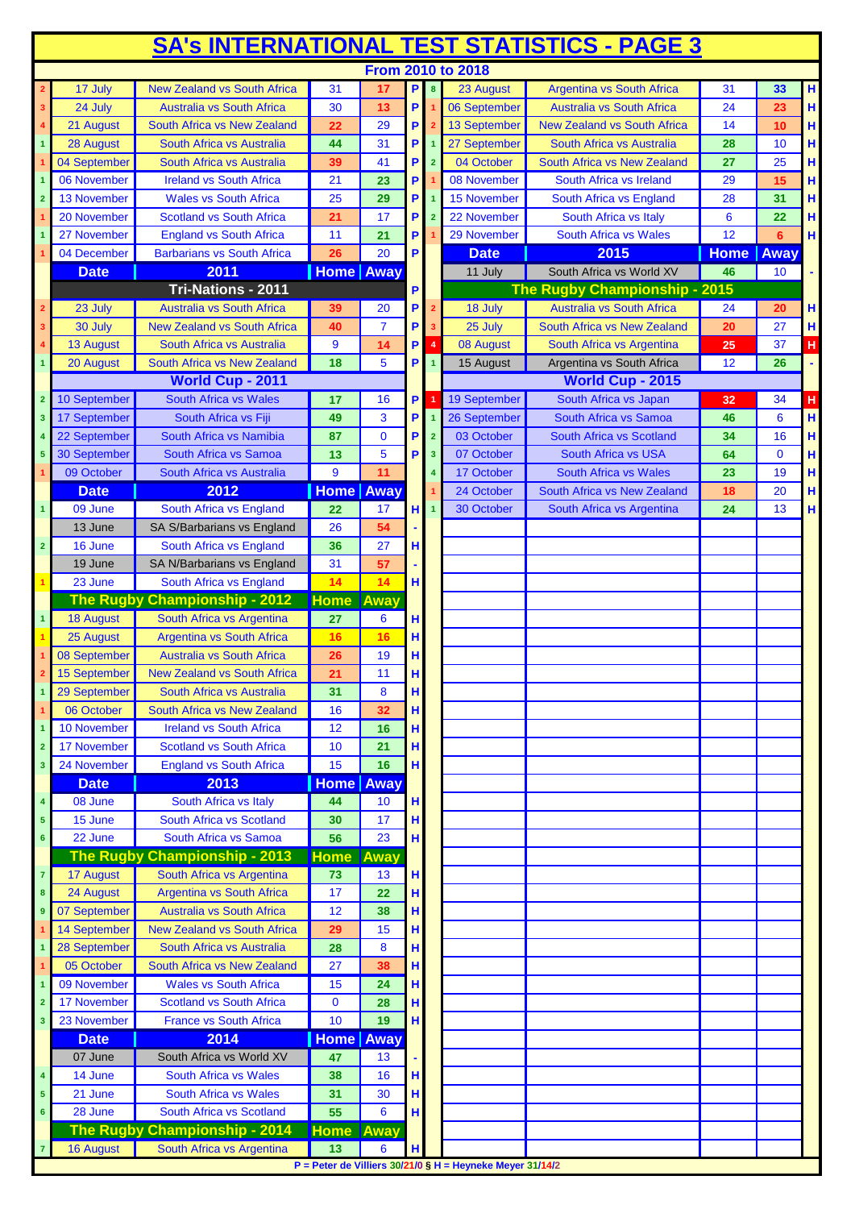| <b>SA's INTERNATIONAL TEST STATISTICS - PAGE 3</b> |                              |                                                  |                  |                  |             |                         |                                                               |                                                   |             |              |        |
|----------------------------------------------------|------------------------------|--------------------------------------------------|------------------|------------------|-------------|-------------------------|---------------------------------------------------------------|---------------------------------------------------|-------------|--------------|--------|
|                                                    |                              |                                                  |                  |                  |             |                         | <b>From 2010 to 2018</b>                                      |                                                   |             |              |        |
|                                                    | 17 July                      | <b>New Zealand vs South Africa</b>               | 31               | 17               | $\mathsf P$ | $\overline{\mathbf{8}}$ | 23 August                                                     | <b>Argentina vs South Africa</b>                  | 31          | 33           | Н      |
| 3                                                  | 24 July                      | <b>Australia vs South Africa</b>                 | 30               | 13               | P           |                         | 06 September                                                  | <b>Australia vs South Africa</b>                  | 24          | 23           | H      |
|                                                    | 21 August                    | South Africa vs New Zealand                      | 22               | 29               | P           |                         | 13 September                                                  | <b>New Zealand vs South Africa</b>                | 14          | 10           | H      |
| $\mathbf{1}$                                       | 28 August                    | South Africa vs Australia                        | 44               | 31               | P           |                         | 27 September                                                  | South Africa vs Australia                         | 28          | 10           | Н      |
|                                                    | 04 September                 | South Africa vs Australia                        | 39               | 41               | P           | $\overline{2}$          | 04 October                                                    | South Africa vs New Zealand                       | 27          | 25           | H      |
|                                                    | 06 November                  | <b>Ireland vs South Africa</b>                   | 21               | 23               | P           |                         | 08 November                                                   | South Africa vs Ireland                           | 29          | 15           | н      |
|                                                    | 13 November                  | <b>Wales vs South Africa</b>                     | 25               | 29               | P           |                         | 15 November                                                   | South Africa vs England                           | 28          | 31           | Н      |
|                                                    | 20 November                  | <b>Scotland vs South Africa</b>                  | 21               | 17               | P           |                         | 22 November                                                   | South Africa vs Italy                             | 6           | 22           | Н      |
|                                                    | 27 November                  | <b>England vs South Africa</b>                   | 11               | 21               | P           |                         | 29 November                                                   | <b>South Africa vs Wales</b>                      | 12          | 6            | H      |
|                                                    | 04 December                  | <b>Barbarians vs South Africa</b>                | 26               | 20               | P           |                         | <b>Date</b>                                                   | 2015                                              | <b>Home</b> | Away         |        |
|                                                    | <b>Date</b>                  | 2011                                             | <b>Home</b> Away |                  |             |                         | 11 July                                                       | South Africa vs World XV                          | 46          | 10           |        |
|                                                    |                              | Tri-Nations - 2011                               |                  |                  | P           |                         |                                                               | The Rugby Championship - 2015                     |             |              |        |
|                                                    | 23 July                      | <b>Australia vs South Africa</b>                 | 39               | 20               | P           | $\overline{2}$          | 18 July                                                       | Australia vs South Africa                         | 24          | 20           | н      |
|                                                    | 30 July                      | <b>New Zealand vs South Africa</b>               | 40               | $\overline{7}$   | P           | 3                       | 25 July                                                       | South Africa vs New Zealand                       | 20          | 27           | н      |
|                                                    | <b>13 August</b>             | South Africa vs Australia                        | 9                | 14               | P.          | $\overline{4}$          | 08 August                                                     | South Africa vs Argentina                         | 25          | 37           | H      |
|                                                    | 20 August                    | South Africa vs New Zealand                      | 18               | 5                | P           | $\overline{1}$          | 15 August                                                     | Argentina vs South Africa                         | 12          | 26           |        |
|                                                    |                              | <b>World Cup - 2011</b><br>South Africa vs Wales |                  |                  |             |                         | 19 September                                                  | <b>World Cup - 2015</b>                           |             |              |        |
| $\overline{2}$                                     | 10 September                 |                                                  | 17               | 16               | P           | $\overline{1}$          | 26 September                                                  | South Africa vs Japan                             | 32          | 34           | H<br>H |
| 3                                                  | 17 September                 | South Africa vs Fiji<br>South Africa vs Namibia  | 49               | 3<br>$\mathbf 0$ | P           | $\overline{1}$          | 03 October                                                    | South Africa vs Samoa<br>South Africa vs Scotland | 46          | 6<br>16      |        |
|                                                    | 22 September<br>30 September | South Africa vs Samoa                            | 87               | 5                | P<br>P      | $\overline{2}$          | 07 October                                                    | <b>South Africa vs USA</b>                        | 34          | $\mathbf{0}$ | H      |
| 5                                                  | 09 October                   | South Africa vs Australia                        | 13<br>9          | 11               |             | $\overline{\mathbf{3}}$ | 17 October                                                    | South Africa vs Wales                             | 64          | 19           | Н<br>H |
|                                                    | <b>Date</b>                  | 2012                                             | <b>Home</b> Away |                  |             |                         | 24 October                                                    | South Africa vs New Zealand                       | 23<br>18    | 20           | H      |
|                                                    | 09 June                      | South Africa vs England                          | 22               | 17               | H           | $\overline{1}$          | 30 October                                                    | South Africa vs Argentina                         | 24          | 13           | H      |
|                                                    | 13 June                      | SA S/Barbarians vs England                       | 26               | 54               |             |                         |                                                               |                                                   |             |              |        |
| $\overline{\mathbf{2}}$                            | 16 June                      | South Africa vs England                          | 36               | 27               | н           |                         |                                                               |                                                   |             |              |        |
|                                                    | 19 June                      | SA N/Barbarians vs England                       | 31               | 57               |             |                         |                                                               |                                                   |             |              |        |
|                                                    | 23 June                      | South Africa vs England                          | 14               | 14               | H           |                         |                                                               |                                                   |             |              |        |
|                                                    |                              | The Rugby Championship - 2012                    | <b>Home</b>      | Away             |             |                         |                                                               |                                                   |             |              |        |
|                                                    | <b>18 August</b>             | South Africa vs Argentina                        | 27               | 6                | H           |                         |                                                               |                                                   |             |              |        |
|                                                    | 25 August                    | <b>Argentina vs South Africa</b>                 | 16               | 16               | H           |                         |                                                               |                                                   |             |              |        |
|                                                    | 08 September                 | <b>Australia vs South Africa</b>                 | 26               | 19               | н           |                         |                                                               |                                                   |             |              |        |
|                                                    | 15 September                 | <b>New Zealand vs South Africa</b>               | 21               | 11               | H           |                         |                                                               |                                                   |             |              |        |
|                                                    | 29 September                 | South Africa vs Australia                        | 31               | 8                | $\mathbf H$ |                         |                                                               |                                                   |             |              |        |
|                                                    | 06 October                   | South Africa vs New Zealand                      | 16               | 32               | H           |                         |                                                               |                                                   |             |              |        |
| 1                                                  | 10 November                  | <b>Ireland vs South Africa</b>                   | 12               | 16               | н           |                         |                                                               |                                                   |             |              |        |
| $\overline{2}$                                     | 17 November                  | <b>Scotland vs South Africa</b>                  | 10               | 21               | H           |                         |                                                               |                                                   |             |              |        |
| 3 <sup>7</sup>                                     | 24 November                  | <b>England vs South Africa</b>                   | 15               | 16               | H           |                         |                                                               |                                                   |             |              |        |
|                                                    | <b>Date</b>                  | 2013                                             | <b>Home</b> Away |                  |             |                         |                                                               |                                                   |             |              |        |
| 4                                                  | 08 June                      | South Africa vs Italy                            | 44               | 10               | н           |                         |                                                               |                                                   |             |              |        |
| 5                                                  | 15 June                      | South Africa vs Scotland                         | 30               | 17               | H           |                         |                                                               |                                                   |             |              |        |
| 6                                                  | 22 June                      | South Africa vs Samoa                            | 56               | 23               | H           |                         |                                                               |                                                   |             |              |        |
|                                                    |                              | The Rugby Championship - 2013                    | <b>Home</b>      | Away             |             |                         |                                                               |                                                   |             |              |        |
| $\mathbf{7}$                                       | 17 August                    | South Africa vs Argentina                        | 73               | 13               | н           |                         |                                                               |                                                   |             |              |        |
| 8                                                  | 24 August                    | <b>Argentina vs South Africa</b>                 | 17               | 22               | н           |                         |                                                               |                                                   |             |              |        |
| $\overline{9}$                                     | 07 September                 | <b>Australia vs South Africa</b>                 | 12               | 38               | $\mathbf H$ |                         |                                                               |                                                   |             |              |        |
|                                                    | 14 September                 | <b>New Zealand vs South Africa</b>               | 29               | 15               | H           |                         |                                                               |                                                   |             |              |        |
|                                                    | 28 September                 | South Africa vs Australia                        | 28               | 8                | н           |                         |                                                               |                                                   |             |              |        |
|                                                    | 05 October                   | South Africa vs New Zealand                      | 27               | 38               | H           |                         |                                                               |                                                   |             |              |        |
|                                                    | 09 November                  | <b>Wales vs South Africa</b>                     | 15               | 24               | H           |                         |                                                               |                                                   |             |              |        |
| $\overline{2}$                                     | 17 November                  | <b>Scotland vs South Africa</b>                  | $\mathbf 0$      | 28               | н           |                         |                                                               |                                                   |             |              |        |
| 3                                                  | 23 November                  | <b>France vs South Africa</b>                    | 10               | 19               | H           |                         |                                                               |                                                   |             |              |        |
|                                                    | <b>Date</b>                  | 2014                                             | <b>Home</b> Away |                  |             |                         |                                                               |                                                   |             |              |        |
|                                                    | 07 June                      | South Africa vs World XV                         | 47               | 13               |             |                         |                                                               |                                                   |             |              |        |
| $\overline{\mathbf{4}}$                            | 14 June                      | <b>South Africa vs Wales</b>                     | 38               | 16               | H           |                         |                                                               |                                                   |             |              |        |
| 5                                                  | 21 June                      | <b>South Africa vs Wales</b>                     | 31               | 30               | H           |                         |                                                               |                                                   |             |              |        |
| $6\phantom{a}$                                     | 28 June                      | South Africa vs Scotland                         | 55               | 6                | H           |                         |                                                               |                                                   |             |              |        |
|                                                    |                              | The Rugby Championship - 2014                    | <b>Home Away</b> |                  |             |                         |                                                               |                                                   |             |              |        |
| $\overline{7}$                                     | 16 August                    | South Africa vs Argentina                        | 13               | 6                | н           |                         |                                                               |                                                   |             |              |        |
|                                                    |                              |                                                  |                  |                  |             |                         | P = Peter de Villiers $30/21/0$ § H = Heyneke Meyer $31/14/2$ |                                                   |             |              |        |